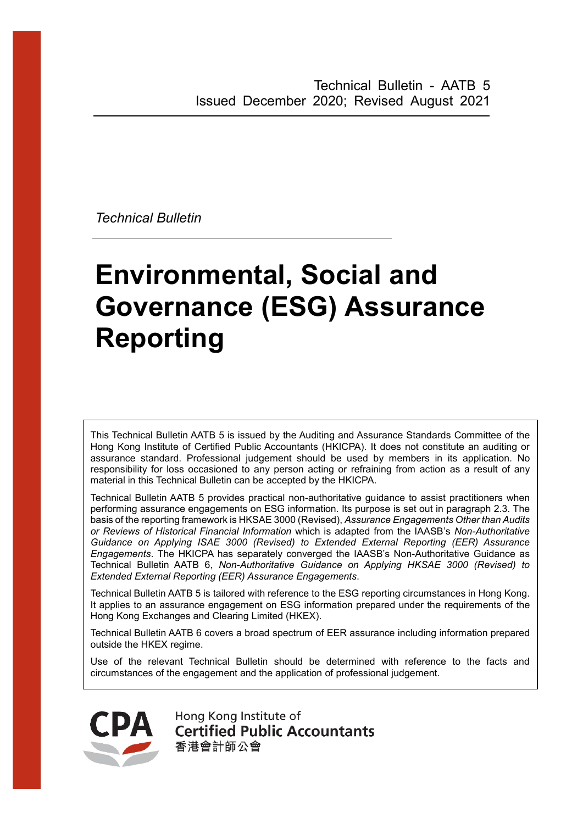*Technical Bulletin*

# **Environmental, Social and Governance (ESG) Assurance Reporting**

This Technical Bulletin AATB 5 is issued by the Auditing and Assurance Standards Committee of the Hong Kong Institute of Certified Public Accountants (HKICPA). It does not constitute an auditing or assurance standard. Professional judgement should be used by members in its application. No responsibility for loss occasioned to any person acting or refraining from action as a result of any material in this Technical Bulletin can be accepted by the HKICPA.

Technical Bulletin AATB 5 provides practical non-authoritative guidance to assist practitioners when performing assurance engagements on ESG information. Its purpose is set out in paragraph 2.3. The basis of the reporting framework is HKSAE 3000 (Revised), *Assurance Engagements Other than Audits or Reviews of Historical Financial Information* which is adapted from the IAASB's *Non-Authoritative Guidance on Applying ISAE 3000 (Revised) to Extended External Reporting (EER) Assurance Engagements*. The HKICPA has separately converged the IAASB's Non-Authoritative Guidance as Technical Bulletin AATB 6, *Non-Authoritative Guidance on Applying HKSAE 3000 (Revised) to Extended External Reporting (EER) Assurance Engagements*.

Technical Bulletin AATB 5 is tailored with reference to the ESG reporting circumstances in Hong Kong. It applies to an assurance engagement on ESG information prepared under the requirements of the Hong Kong Exchanges and Clearing Limited (HKEX).

Technical Bulletin AATB 6 covers a broad spectrum of EER assurance including information prepared outside the HKEX regime.

Use of the relevant Technical Bulletin should be determined with reference to the facts and circumstances of the engagement and the application of professional judgement.



Hong Kong Institute of **Certified Public Accountants** 香港會計師公會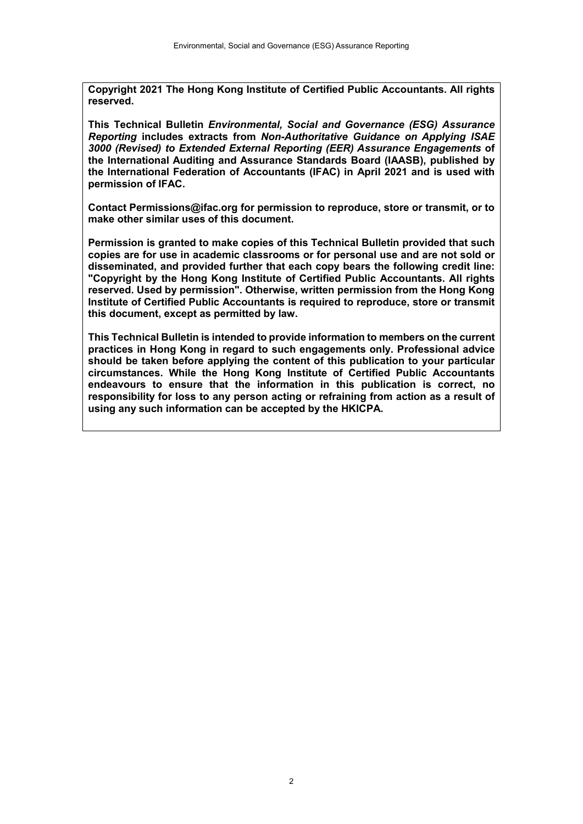**Copyright 2021 The Hong Kong Institute of Certified Public Accountants. All rights reserved.**

**This Technical Bulletin** *Environmental, Social and Governance (ESG) Assurance Reporting* **includes extracts from** *Non-Authoritative Guidance on Applying ISAE 3000 (Revised) to Extended External Reporting (EER) Assurance Engagements* **of the International Auditing and Assurance Standards Board (IAASB), published by the International Federation of Accountants (IFAC) in April 2021 and is used with permission of IFAC.**

**Contact Permissions@ifac.org for permission to reproduce, store or transmit, or to make other similar uses of this document.**

**Permission is granted to make copies of this Technical Bulletin provided that such copies are for use in academic classrooms or for personal use and are not sold or disseminated, and provided further that each copy bears the following credit line: "Copyright by the Hong Kong Institute of Certified Public Accountants. All rights reserved. Used by permission". Otherwise, written permission from the Hong Kong Institute of Certified Public Accountants is required to reproduce, store or transmit this document, except as permitted by law.** 

**This Technical Bulletin is intended to provide information to members on the current practices in Hong Kong in regard to such engagements only. Professional advice should be taken before applying the content of this publication to your particular circumstances. While the Hong Kong Institute of Certified Public Accountants endeavours to ensure that the information in this publication is correct, no responsibility for loss to any person acting or refraining from action as a result of using any such information can be accepted by the HKICPA.**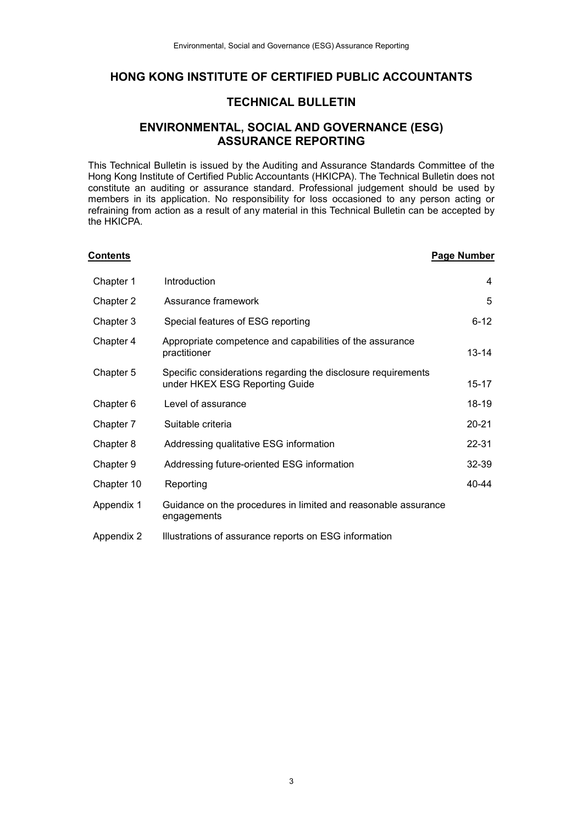## **HONG KONG INSTITUTE OF CERTIFIED PUBLIC ACCOUNTANTS**

## **TECHNICAL BULLETIN**

## **ENVIRONMENTAL, SOCIAL AND GOVERNANCE (ESG) ASSURANCE REPORTING**

This Technical Bulletin is issued by the Auditing and Assurance Standards Committee of the Hong Kong Institute of Certified Public Accountants (HKICPA). The Technical Bulletin does not constitute an auditing or assurance standard. Professional judgement should be used by members in its application. No responsibility for loss occasioned to any person acting or refraining from action as a result of any material in this Technical Bulletin can be accepted by the HKICPA.

| <u>Contents</u> |                                                                                                 | <b>Page Number</b> |
|-----------------|-------------------------------------------------------------------------------------------------|--------------------|
| Chapter 1       | Introduction                                                                                    | 4                  |
| Chapter 2       | Assurance framework                                                                             | 5                  |
| Chapter 3       | Special features of ESG reporting                                                               | $6 - 12$           |
| Chapter 4       | Appropriate competence and capabilities of the assurance<br>practitioner                        | $13 - 14$          |
| Chapter 5       | Specific considerations regarding the disclosure requirements<br>under HKEX ESG Reporting Guide | 15-17              |
| Chapter 6       | Level of assurance                                                                              | 18-19              |
| Chapter 7       | Suitable criteria                                                                               | $20 - 21$          |
| Chapter 8       | Addressing qualitative ESG information                                                          | 22-31              |
| Chapter 9       | Addressing future-oriented ESG information                                                      | $32 - 39$          |
| Chapter 10      | Reporting                                                                                       | 40-44              |
| Appendix 1      | Guidance on the procedures in limited and reasonable assurance<br>engagements                   |                    |
| Appendix 2      | Illustrations of assurance reports on ESG information                                           |                    |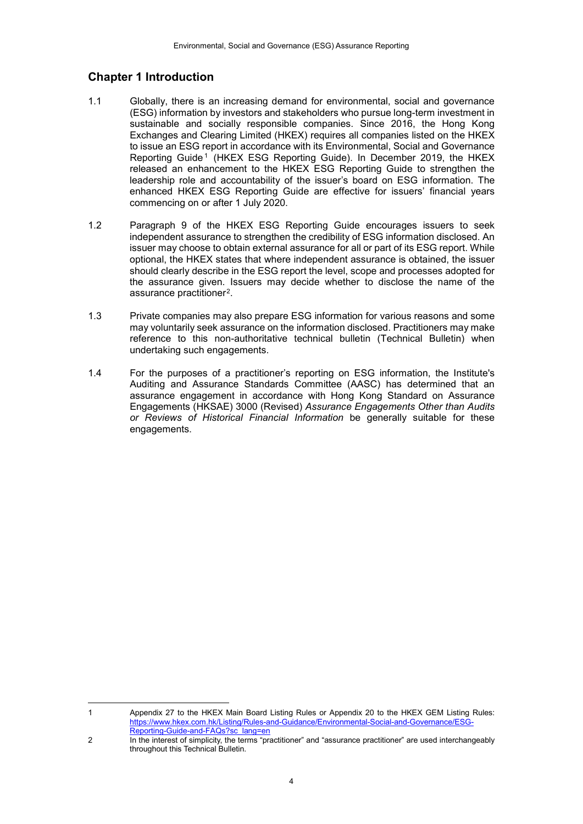# **Chapter 1 Introduction**

1

- 1.1 Globally, there is an increasing demand for environmental, social and governance (ESG) information by investors and stakeholders who pursue long-term investment in sustainable and socially responsible companies. Since 2016, the Hong Kong Exchanges and Clearing Limited (HKEX) requires all companies listed on the HKEX to issue an ESG report in accordance with its Environmental, Social and Governance Reporting Guide[1](#page-3-0) (HKEX ESG Reporting Guide). In December 2019, the HKEX released an enhancement to the HKEX ESG Reporting Guide to strengthen the leadership role and accountability of the issuer's board on ESG information. The enhanced HKEX ESG Reporting Guide are effective for issuers' financial years commencing on or after 1 July 2020.
- 1.2 Paragraph 9 of the HKEX ESG Reporting Guide encourages issuers to seek independent assurance to strengthen the credibility of ESG information disclosed. An issuer may choose to obtain external assurance for all or part of its ESG report. While optional, the HKEX states that where independent assurance is obtained, the issuer should clearly describe in the ESG report the level, scope and processes adopted for the assurance given. Issuers may decide whether to disclose the name of the assurance practitioner[2](#page-3-1).
- 1.3 Private companies may also prepare ESG information for various reasons and some may voluntarily seek assurance on the information disclosed. Practitioners may make reference to this non-authoritative technical bulletin (Technical Bulletin) when undertaking such engagements.
- 1.4 For the purposes of a practitioner's reporting on ESG information, the Institute's Auditing and Assurance Standards Committee (AASC) has determined that an assurance engagement in accordance with Hong Kong Standard on Assurance Engagements (HKSAE) 3000 (Revised) *Assurance Engagements Other than Audits or Reviews of Historical Financial Information* be generally suitable for these engagements.

<span id="page-3-0"></span><sup>1</sup> Appendix 27 to the HKEX Main Board Listing Rules or Appendix 20 to the HKEX GEM Listing Rules: [https://www.hkex.com.hk/Listing/Rules-and-Guidance/Environmental-Social-and-Governance/ESG-](https://www.hkex.com.hk/Listing/Rules-and-Guidance/Environmental-Social-and-Governance/ESG-Reporting-Guide-and-FAQs?sc_lang=en)[Reporting-Guide-and-FAQs?sc\\_lang=en](https://www.hkex.com.hk/Listing/Rules-and-Guidance/Environmental-Social-and-Governance/ESG-Reporting-Guide-and-FAQs?sc_lang=en)

<span id="page-3-1"></span><sup>2</sup> In the interest of simplicity, the terms "practitioner" and "assurance practitioner" are used interchangeably throughout this Technical Bulletin.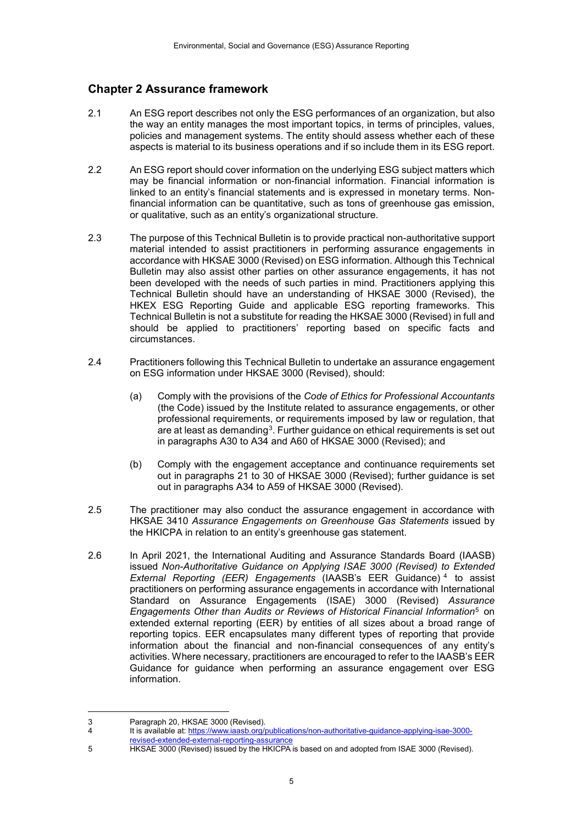# **Chapter 2 Assurance framework**

- 2.1 An ESG report describes not only the ESG performances of an organization, but also the way an entity manages the most important topics, in terms of principles, values, policies and management systems. The entity should assess whether each of these aspects is material to its business operations and if so include them in its ESG report.
- 2.2 An ESG report should cover information on the underlying ESG subject matters which may be financial information or non-financial information. Financial information is linked to an entity's financial statements and is expressed in monetary terms. Nonfinancial information can be quantitative, such as tons of greenhouse gas emission, or qualitative, such as an entity's organizational structure.
- 2.3 The purpose of this Technical Bulletin is to provide practical non-authoritative support material intended to assist practitioners in performing assurance engagements in accordance with HKSAE 3000 (Revised) on ESG information. Although this Technical Bulletin may also assist other parties on other assurance engagements, it has not been developed with the needs of such parties in mind. Practitioners applying this Technical Bulletin should have an understanding of HKSAE 3000 (Revised), the HKEX ESG Reporting Guide and applicable ESG reporting frameworks. This Technical Bulletin is not a substitute for reading the HKSAE 3000 (Revised) in full and should be applied to practitioners' reporting based on specific facts and circumstances.
- 2.4 Practitioners following this Technical Bulletin to undertake an assurance engagement on ESG information under HKSAE 3000 (Revised), should:
	- (a) Comply with the provisions of the *Code of Ethics for Professional Accountants* (the Code) issued by the Institute related to assurance engagements, or other professional requirements, or requirements imposed by law or regulation, that are at least as demanding<sup>[3](#page-4-0)</sup>. Further guidance on ethical requirements is set out in paragraphs A30 to A34 and A60 of HKSAE 3000 (Revised); and
	- (b) Comply with the engagement acceptance and continuance requirements set out in paragraphs 21 to 30 of HKSAE 3000 (Revised); further guidance is set out in paragraphs A34 to A59 of HKSAE 3000 (Revised).
- 2.5 The practitioner may also conduct the assurance engagement in accordance with HKSAE 3410 *Assurance Engagements on Greenhouse Gas Statements* issued by the HKICPA in relation to an entity's greenhouse gas statement.
- 2.6 In April 2021, the International Auditing and Assurance Standards Board (IAASB) issued *Non-Authoritative Guidance on Applying ISAE 3000 (Revised) to Extended External Reporting (EER) Engagements* (IAASB's EER Guidance) [4](#page-4-1) to assist practitioners on performing assurance engagements in accordance with International Standard on Assurance Engagements (ISAE) 3000 (Revised) *Assurance Engagements Other than Audits or Reviews of Historical Financial Information*[5](#page-4-2) on extended external reporting (EER) by entities of all sizes about a broad range of reporting topics. EER encapsulates many different types of reporting that provide information about the financial and non-financial consequences of any entity's activities. Where necessary, practitioners are encouraged to refer to the IAASB's EER Guidance for guidance when performing an assurance engagement over ESG information.

<span id="page-4-0"></span><sup>1</sup> 3 Paragraph 20, HKSAE 3000 (Revised).<br>4 It is available at: https://www.iaasb.org/

<sup>4</sup> It is available at[: https://www.iaasb.org/publications/non-authoritative-guidance-applying-isae-3000-](https://www.iaasb.org/publications/non-authoritative-guidance-applying-isae-3000-revised-extended-external-reporting-assurance)

[revised-extended-external-reporting-assurance](https://www.iaasb.org/publications/non-authoritative-guidance-applying-isae-3000-revised-extended-external-reporting-assurance)

<span id="page-4-2"></span><span id="page-4-1"></span>**EXAMPLE 2000** (Revised) issued by the HKICPA is based on and adopted from ISAE 3000 (Revised).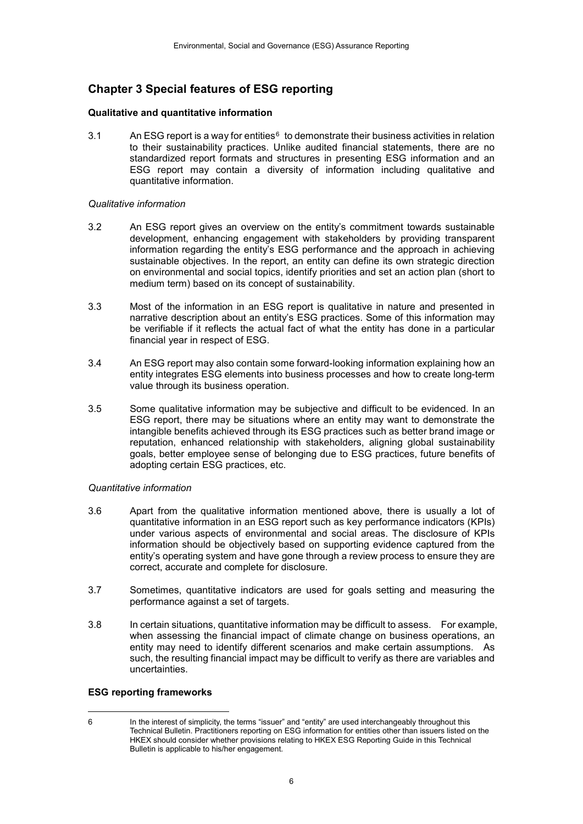# **Chapter 3 Special features of ESG reporting**

#### **Qualitative and quantitative information**

3.1 An ESG report is a way for entities $<sup>6</sup>$  $<sup>6</sup>$  $<sup>6</sup>$  to demonstrate their business activities in relation</sup> to their sustainability practices. Unlike audited financial statements, there are no standardized report formats and structures in presenting ESG information and an ESG report may contain a diversity of information including qualitative and quantitative information.

#### *Qualitative information*

- 3.2 An ESG report gives an overview on the entity's commitment towards sustainable development, enhancing engagement with stakeholders by providing transparent information regarding the entity's ESG performance and the approach in achieving sustainable objectives. In the report, an entity can define its own strategic direction on environmental and social topics, identify priorities and set an action plan (short to medium term) based on its concept of sustainability.
- 3.3 Most of the information in an ESG report is qualitative in nature and presented in narrative description about an entity's ESG practices. Some of this information may be verifiable if it reflects the actual fact of what the entity has done in a particular financial year in respect of ESG.
- 3.4 An ESG report may also contain some forward-looking information explaining how an entity integrates ESG elements into business processes and how to create long-term value through its business operation.
- 3.5 Some qualitative information may be subjective and difficult to be evidenced. In an ESG report, there may be situations where an entity may want to demonstrate the intangible benefits achieved through its ESG practices such as better brand image or reputation, enhanced relationship with stakeholders, aligning global sustainability goals, better employee sense of belonging due to ESG practices, future benefits of adopting certain ESG practices, etc.

#### *Quantitative information*

- 3.6 Apart from the qualitative information mentioned above, there is usually a lot of quantitative information in an ESG report such as key performance indicators (KPIs) under various aspects of environmental and social areas. The disclosure of KPIs information should be objectively based on supporting evidence captured from the entity's operating system and have gone through a review process to ensure they are correct, accurate and complete for disclosure.
- 3.7 Sometimes, quantitative indicators are used for goals setting and measuring the performance against a set of targets.
- 3.8 In certain situations, quantitative information may be difficult to assess. For example, when assessing the financial impact of climate change on business operations, an entity may need to identify different scenarios and make certain assumptions. As such, the resulting financial impact may be difficult to verify as there are variables and uncertainties.

#### **ESG reporting frameworks**

1

<span id="page-5-0"></span><sup>6</sup> In the interest of simplicity, the terms "issuer" and "entity" are used interchangeably throughout this Technical Bulletin. Practitioners reporting on ESG information for entities other than issuers listed on the HKEX should consider whether provisions relating to HKEX ESG Reporting Guide in this Technical Bulletin is applicable to his/her engagement.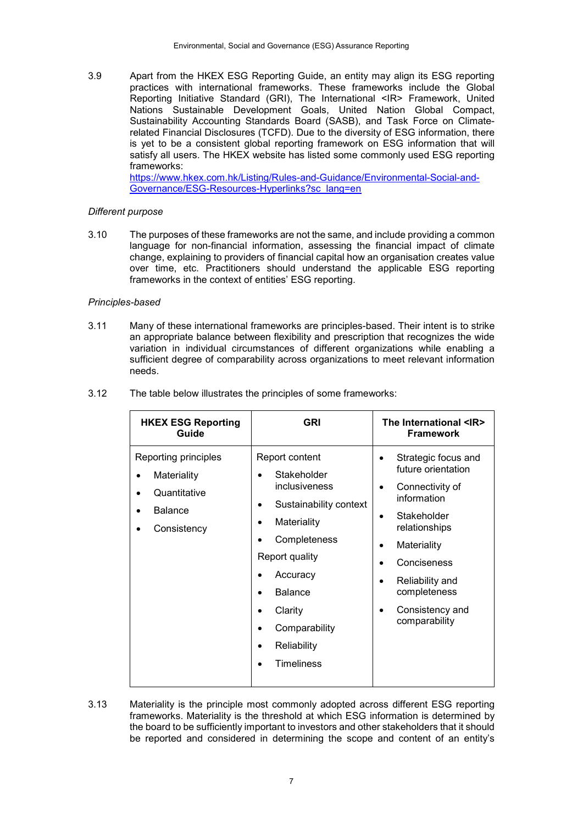3.9 Apart from the HKEX ESG Reporting Guide, an entity may align its ESG reporting practices with international frameworks. These frameworks include the Global Reporting Initiative Standard (GRI), The International <IR> Framework, United Nations Sustainable Development Goals, United Nation Global Compact, Sustainability Accounting Standards Board (SASB), and Task Force on Climaterelated Financial Disclosures (TCFD). Due to the diversity of ESG information, there is yet to be a consistent global reporting framework on ESG information that will satisfy all users. The HKEX website has listed some commonly used ESG reporting frameworks:

[https://www.hkex.com.hk/Listing/Rules-and-Guidance/Environmental-Social-and-](https://www.hkex.com.hk/Listing/Rules-and-Guidance/Environmental-Social-and-Governance/ESG-Resources-Hyperlinks?sc_lang=en)[Governance/ESG-Resources-Hyperlinks?sc\\_lang=en](https://www.hkex.com.hk/Listing/Rules-and-Guidance/Environmental-Social-and-Governance/ESG-Resources-Hyperlinks?sc_lang=en)

#### *Different purpose*

3.10 The purposes of these frameworks are not the same, and include providing a common language for non-financial information, assessing the financial impact of climate change, explaining to providers of financial capital how an organisation creates value over time, etc. Practitioners should understand the applicable ESG reporting frameworks in the context of entities' ESG reporting.

#### *Principles-based*

3.11 Many of these international frameworks are principles-based. Their intent is to strike an appropriate balance between flexibility and prescription that recognizes the wide variation in individual circumstances of different organizations while enabling a sufficient degree of comparability across organizations to meet relevant information needs.

| 3.12 | The table below illustrates the principles of some frameworks: |  |  |
|------|----------------------------------------------------------------|--|--|
|------|----------------------------------------------------------------|--|--|

| <b>HKEX ESG Reporting</b><br>Guide                                                   | <b>GRI</b>                                                                                                                                                                                                                                                     | The International <ir><br/><b>Framework</b></ir>                                                                                                                                                                                                     |
|--------------------------------------------------------------------------------------|----------------------------------------------------------------------------------------------------------------------------------------------------------------------------------------------------------------------------------------------------------------|------------------------------------------------------------------------------------------------------------------------------------------------------------------------------------------------------------------------------------------------------|
| Reporting principles<br>Materiality<br>Quantitative<br><b>Balance</b><br>Consistency | Report content<br>Stakeholder<br>inclusiveness<br>Sustainability context<br>Materiality<br>Completeness<br>Report quality<br>Accuracy<br><b>Balance</b><br>Clarity<br>$\bullet$<br>Comparability<br>$\bullet$<br>Reliability<br><b>Timeliness</b><br>$\bullet$ | Strategic focus and<br>٠<br>future orientation<br>Connectivity of<br>$\bullet$<br>information<br>Stakeholder<br>$\bullet$<br>relationships<br>Materiality<br>٠<br>Conciseness<br>Reliability and<br>completeness<br>Consistency and<br>comparability |

3.13 Materiality is the principle most commonly adopted across different ESG reporting frameworks. Materiality is the threshold at which ESG information is determined by the board to be sufficiently important to investors and other stakeholders that it should be reported and considered in determining the scope and content of an entity's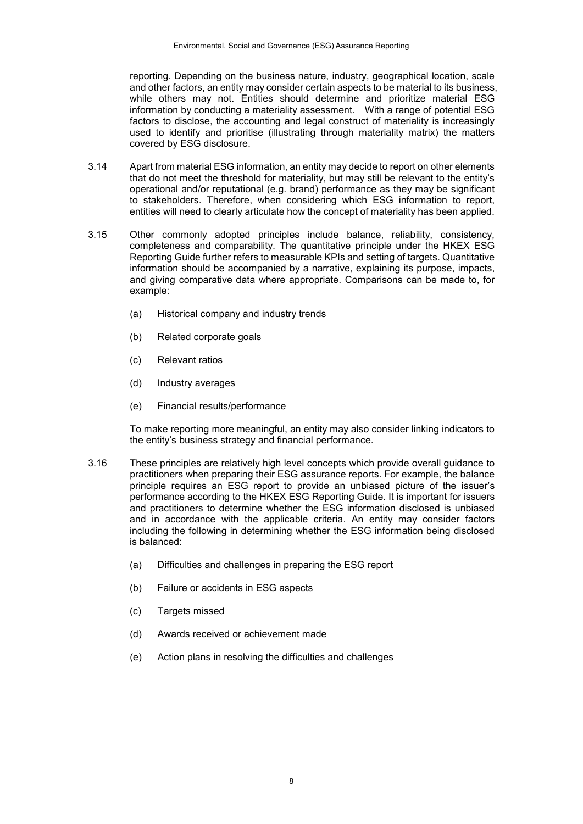reporting. Depending on the business nature, industry, geographical location, scale and other factors, an entity may consider certain aspects to be material to its business, while others may not. Entities should determine and prioritize material ESG information by conducting a materiality assessment. With a range of potential ESG factors to disclose, the accounting and legal construct of materiality is increasingly used to identify and prioritise (illustrating through materiality matrix) the matters covered by ESG disclosure.

- 3.14 Apart from material ESG information, an entity may decide to report on other elements that do not meet the threshold for materiality, but may still be relevant to the entity's operational and/or reputational (e.g. brand) performance as they may be significant to stakeholders. Therefore, when considering which ESG information to report, entities will need to clearly articulate how the concept of materiality has been applied.
- 3.15 Other commonly adopted principles include balance, reliability, consistency, completeness and comparability. The quantitative principle under the HKEX ESG Reporting Guide further refers to measurable KPIs and setting of targets. Quantitative information should be accompanied by a narrative, explaining its purpose, impacts, and giving comparative data where appropriate. Comparisons can be made to, for example:
	- (a) Historical company and industry trends
	- (b) Related corporate goals
	- (c) Relevant ratios
	- (d) Industry averages
	- (e) Financial results/performance

To make reporting more meaningful, an entity may also consider linking indicators to the entity's business strategy and financial performance.

- 3.16 These principles are relatively high level concepts which provide overall guidance to practitioners when preparing their ESG assurance reports. For example, the balance principle requires an ESG report to provide an unbiased picture of the issuer's performance according to the HKEX ESG Reporting Guide. It is important for issuers and practitioners to determine whether the ESG information disclosed is unbiased and in accordance with the applicable criteria. An entity may consider factors including the following in determining whether the ESG information being disclosed is balanced:
	- (a) Difficulties and challenges in preparing the ESG report
	- (b) Failure or accidents in ESG aspects
	- (c) Targets missed
	- (d) Awards received or achievement made
	- (e) Action plans in resolving the difficulties and challenges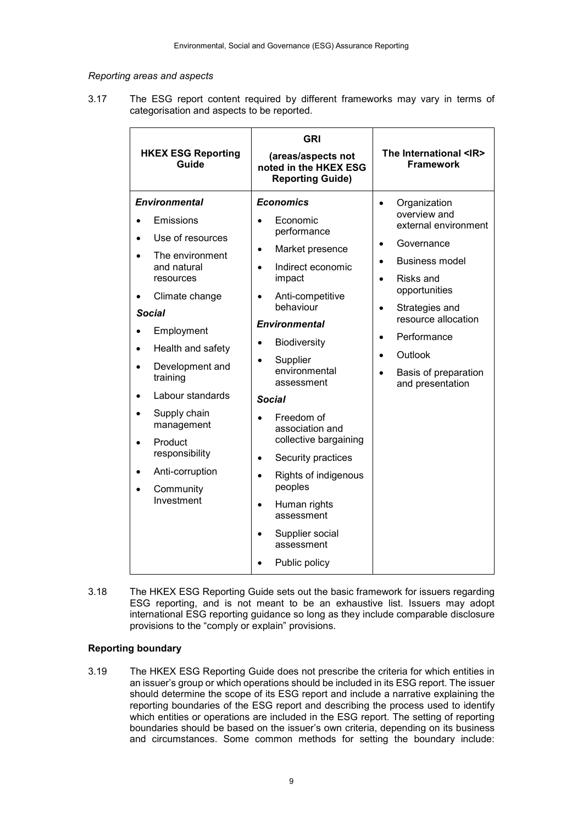#### *Reporting areas and aspects*

3.17 The ESG report content required by different frameworks may vary in terms of categorisation and aspects to be reported.

| <b>Environmental</b><br><b>Economics</b><br>Organization<br>$\bullet$<br>overview and<br>Economic<br>Emissions<br>external environment<br>performance<br>Use of resources<br>Governance<br>Market presence<br>$\bullet$<br>The environment<br><b>Business model</b><br>and natural<br>Indirect economic<br>impact<br>resources<br>Risks and<br>opportunities<br>Anti-competitive<br>Climate change<br>behaviour<br>Strategies and<br><b>Social</b><br>resource allocation<br><b>Environmental</b><br>Employment<br>Performance<br>Biodiversity<br>Health and safety<br>Outlook<br>Supplier<br>Development and<br>environmental<br>Basis of preparation<br>training<br>assessment<br>and presentation<br>Labour standards<br><b>Social</b><br>Supply chain<br>Freedom of<br>management<br>association and<br>collective bargaining<br>Product<br>responsibility<br>Security practices<br>Anti-corruption<br>Rights of indigenous<br>peoples<br>Community<br>Investment<br>Human rights<br>assessment<br>Supplier social<br>assessment | <b>HKEX ESG Reporting</b><br>Guide | <b>GRI</b><br>(areas/aspects not<br>noted in the HKEX ESG<br><b>Reporting Guide)</b> | The International <ir><br/><b>Framework</b></ir> |
|--------------------------------------------------------------------------------------------------------------------------------------------------------------------------------------------------------------------------------------------------------------------------------------------------------------------------------------------------------------------------------------------------------------------------------------------------------------------------------------------------------------------------------------------------------------------------------------------------------------------------------------------------------------------------------------------------------------------------------------------------------------------------------------------------------------------------------------------------------------------------------------------------------------------------------------------------------------------------------------------------------------------------------------|------------------------------------|--------------------------------------------------------------------------------------|--------------------------------------------------|
| Public policy                                                                                                                                                                                                                                                                                                                                                                                                                                                                                                                                                                                                                                                                                                                                                                                                                                                                                                                                                                                                                        |                                    |                                                                                      |                                                  |

3.18 The HKEX ESG Reporting Guide sets out the basic framework for issuers regarding ESG reporting, and is not meant to be an exhaustive list. Issuers may adopt international ESG reporting guidance so long as they include comparable disclosure provisions to the "comply or explain" provisions.

## **Reporting boundary**

3.19 The HKEX ESG Reporting Guide does not prescribe the criteria for which entities in an issuer's group or which operations should be included in its ESG report. The issuer should determine the scope of its ESG report and include a narrative explaining the reporting boundaries of the ESG report and describing the process used to identify which entities or operations are included in the ESG report. The setting of reporting boundaries should be based on the issuer's own criteria, depending on its business and circumstances. Some common methods for setting the boundary include: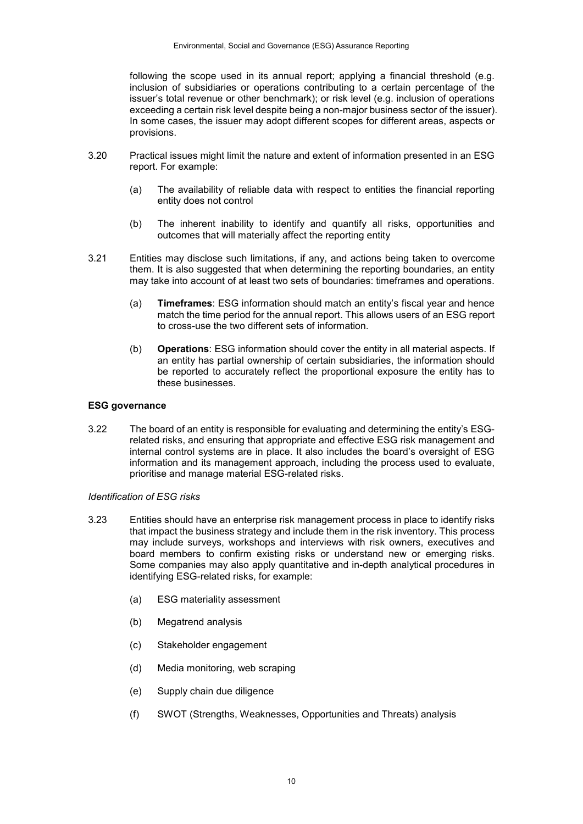following the scope used in its annual report; applying a financial threshold (e.g. inclusion of subsidiaries or operations contributing to a certain percentage of the issuer's total revenue or other benchmark); or risk level (e.g. inclusion of operations exceeding a certain risk level despite being a non-major business sector of the issuer). In some cases, the issuer may adopt different scopes for different areas, aspects or provisions.

- 3.20 Practical issues might limit the nature and extent of information presented in an ESG report. For example:
	- (a) The availability of reliable data with respect to entities the financial reporting entity does not control
	- (b) The inherent inability to identify and quantify all risks, opportunities and outcomes that will materially affect the reporting entity
- 3.21 Entities may disclose such limitations, if any, and actions being taken to overcome them. It is also suggested that when determining the reporting boundaries, an entity may take into account of at least two sets of boundaries: timeframes and operations.
	- (a) **Timeframes**: ESG information should match an entity's fiscal year and hence match the time period for the annual report. This allows users of an ESG report to cross-use the two different sets of information.
	- (b) **Operations**: ESG information should cover the entity in all material aspects. If an entity has partial ownership of certain subsidiaries, the information should be reported to accurately reflect the proportional exposure the entity has to these businesses.

#### **ESG governance**

3.22 The board of an entity is responsible for evaluating and determining the entity's ESGrelated risks, and ensuring that appropriate and effective ESG risk management and internal control systems are in place. It also includes the board's oversight of ESG information and its management approach, including the process used to evaluate, prioritise and manage material ESG-related risks.

#### *Identification of ESG risks*

- 3.23 Entities should have an enterprise risk management process in place to identify risks that impact the business strategy and include them in the risk inventory. This process may include surveys, workshops and interviews with risk owners, executives and board members to confirm existing risks or understand new or emerging risks. Some companies may also apply quantitative and in-depth analytical procedures in identifying ESG-related risks, for example:
	- (a) ESG materiality assessment
	- (b) Megatrend analysis
	- (c) Stakeholder engagement
	- (d) Media monitoring, web scraping
	- (e) Supply chain due diligence
	- (f) SWOT (Strengths, Weaknesses, Opportunities and Threats) analysis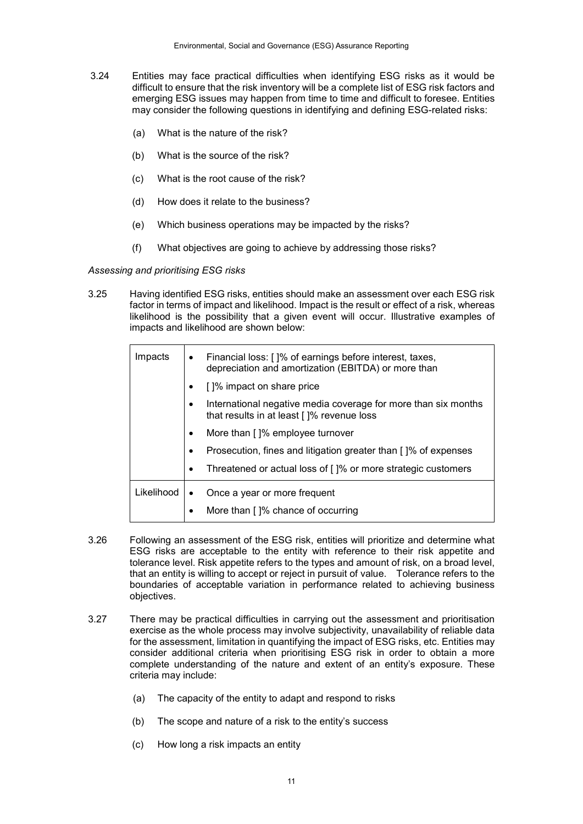- 3.24 Entities may face practical difficulties when identifying ESG risks as it would be difficult to ensure that the risk inventory will be a complete list of ESG risk factors and emerging ESG issues may happen from time to time and difficult to foresee. Entities may consider the following questions in identifying and defining ESG-related risks:
	- (a) What is the nature of the risk?
	- (b) What is the source of the risk?
	- (c) What is the root cause of the risk?
	- (d) How does it relate to the business?
	- (e) Which business operations may be impacted by the risks?
	- (f) What objectives are going to achieve by addressing those risks?

*Assessing and prioritising ESG risks*

3.25 Having identified ESG risks, entities should make an assessment over each ESG risk factor in terms of impact and likelihood. Impact is the result or effect of a risk, whereas likelihood is the possibility that a given event will occur. Illustrative examples of impacts and likelihood are shown below:

| Impacts    |           | Financial loss: []% of earnings before interest, taxes,<br>depreciation and amortization (EBITDA) or more than |
|------------|-----------|----------------------------------------------------------------------------------------------------------------|
|            |           | []% impact on share price                                                                                      |
|            |           | International negative media coverage for more than six months<br>that results in at least []% revenue loss    |
|            | $\bullet$ | More than []% employee turnover                                                                                |
|            | ٠         | Prosecution, fines and litigation greater than []% of expenses                                                 |
|            | ٠         | Threatened or actual loss of []% or more strategic customers                                                   |
| Likelihood | $\bullet$ | Once a year or more frequent                                                                                   |
|            | ٠         | More than []% chance of occurring                                                                              |

- 3.26 Following an assessment of the ESG risk, entities will prioritize and determine what ESG risks are acceptable to the entity with reference to their risk appetite and tolerance level. Risk appetite refers to the types and amount of risk, on a broad level, that an entity is willing to accept or reject in pursuit of value. Tolerance refers to the boundaries of acceptable variation in performance related to achieving business objectives.
- 3.27 There may be practical difficulties in carrying out the assessment and prioritisation exercise as the whole process may involve subjectivity, unavailability of reliable data for the assessment, limitation in quantifying the impact of ESG risks, etc. Entities may consider additional criteria when prioritising ESG risk in order to obtain a more complete understanding of the nature and extent of an entity's exposure. These criteria may include:
	- (a) The capacity of the entity to adapt and respond to risks
	- (b) The scope and nature of a risk to the entity's success
	- (c) How long a risk impacts an entity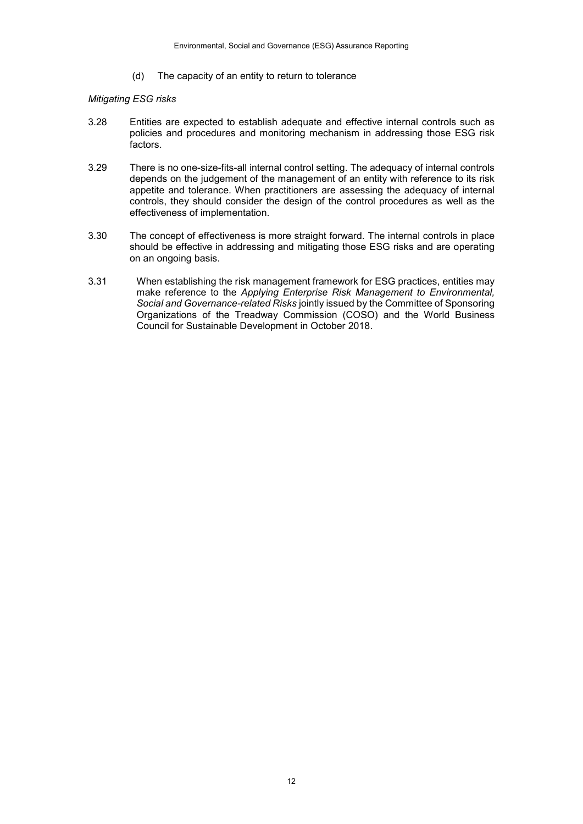(d) The capacity of an entity to return to tolerance

#### *Mitigating ESG risks*

- 3.28 Entities are expected to establish adequate and effective internal controls such as policies and procedures and monitoring mechanism in addressing those ESG risk factors.
- 3.29 There is no one-size-fits-all internal control setting. The adequacy of internal controls depends on the judgement of the management of an entity with reference to its risk appetite and tolerance. When practitioners are assessing the adequacy of internal controls, they should consider the design of the control procedures as well as the effectiveness of implementation.
- 3.30 The concept of effectiveness is more straight forward. The internal controls in place should be effective in addressing and mitigating those ESG risks and are operating on an ongoing basis.
- 3.31 When establishing the risk management framework for ESG practices, entities may make reference to the *Applying Enterprise Risk Management to Environmental, Social and Governance-related Risks* jointly issued by the Committee of Sponsoring Organizations of the Treadway Commission (COSO) and the World Business Council for Sustainable Development in October 2018.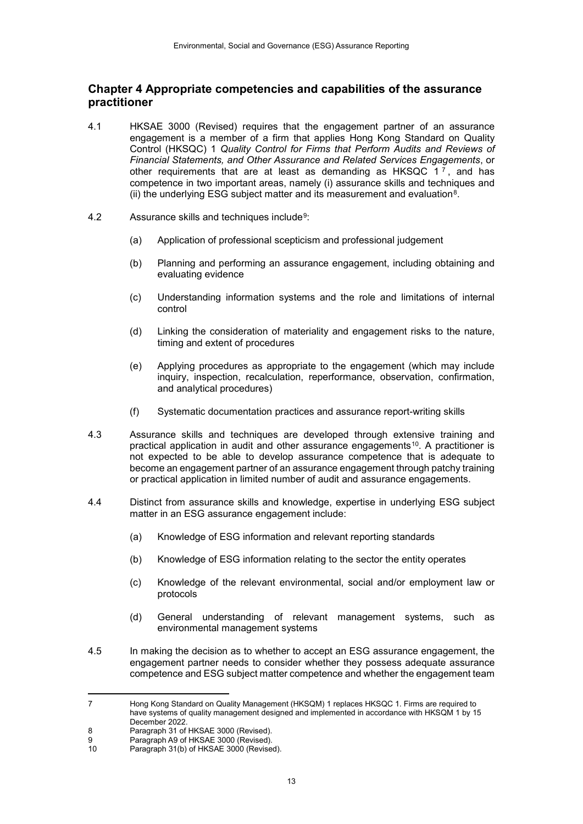# **Chapter 4 Appropriate competencies and capabilities of the assurance practitioner**

- 4.1 HKSAE 3000 (Revised) requires that the engagement partner of an assurance engagement is a member of a firm that applies Hong Kong Standard on Quality Control (HKSQC) 1 *Quality Control for Firms that Perform Audits and Reviews of Financial Statements, and Other Assurance and Related Services Engagements*, or other requirements that are at least as demanding as HKSQC  $1^7$  $1^7$ , and has competence in two important areas, namely (i) assurance skills and techniques and (ii) the underlying ESG subject matter and its measurement and evaluation $8$ .
- 4.2 Assurance skills and techniques include[9](#page-12-2):
	- (a) Application of professional scepticism and professional judgement
	- (b) Planning and performing an assurance engagement, including obtaining and evaluating evidence
	- (c) Understanding information systems and the role and limitations of internal control
	- (d) Linking the consideration of materiality and engagement risks to the nature, timing and extent of procedures
	- (e) Applying procedures as appropriate to the engagement (which may include inquiry, inspection, recalculation, reperformance, observation, confirmation, and analytical procedures)
	- (f) Systematic documentation practices and assurance report-writing skills
- 4.3 Assurance skills and techniques are developed through extensive training and practical application in audit and other assurance engagements<sup>10</sup>. A practitioner is not expected to be able to develop assurance competence that is adequate to become an engagement partner of an assurance engagement through patchy training or practical application in limited number of audit and assurance engagements.
- 4.4 Distinct from assurance skills and knowledge, expertise in underlying ESG subject matter in an ESG assurance engagement include:
	- (a) Knowledge of ESG information and relevant reporting standards
	- (b) Knowledge of ESG information relating to the sector the entity operates
	- (c) Knowledge of the relevant environmental, social and/or employment law or protocols
	- (d) General understanding of relevant management systems, such as environmental management systems
- 4.5 In making the decision as to whether to accept an ESG assurance engagement, the engagement partner needs to consider whether they possess adequate assurance competence and ESG subject matter competence and whether the engagement team

<span id="page-12-0"></span> $\overline{7}$ 7 Hong Kong Standard on Quality Management (HKSQM) 1 replaces HKSQC 1. Firms are required to have systems of quality management designed and implemented in accordance with HKSQM 1 by 15 December 2022.

<span id="page-12-2"></span><span id="page-12-1"></span><sup>8</sup> Paragraph 31 of HKSAE 3000 (Revised).<br>9 Paragraph A9 of HKSAE 3000 (Revised)

<sup>9</sup> Paragraph A9 of HKSAE 3000 (Revised).<br>10 Paragraph 31(b) of HKSAE 3000 (Revise

<span id="page-12-3"></span>Paragraph 31(b) of HKSAE 3000 (Revised).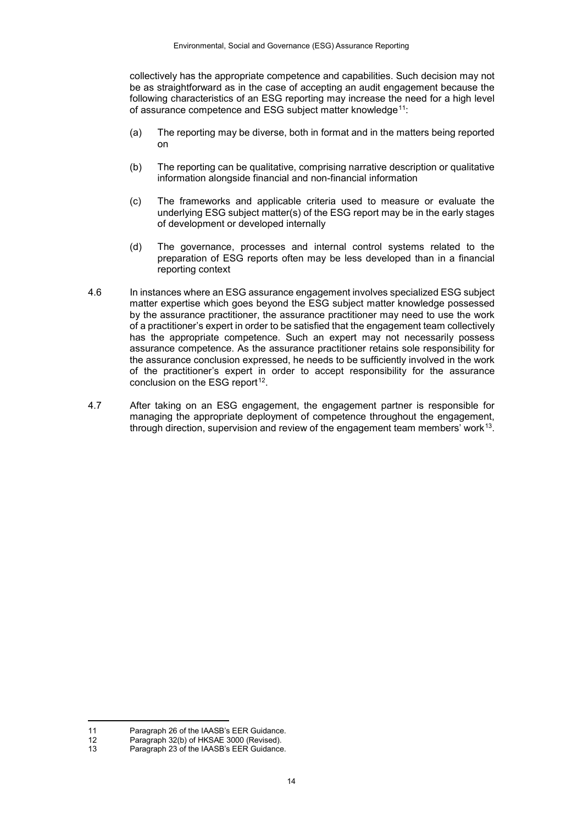collectively has the appropriate competence and capabilities. Such decision may not be as straightforward as in the case of accepting an audit engagement because the following characteristics of an ESG reporting may increase the need for a high level of assurance competence and ESG subject matter knowledge<sup>[11](#page-13-0)</sup>:

- (a) The reporting may be diverse, both in format and in the matters being reported on
- (b) The reporting can be qualitative, comprising narrative description or qualitative information alongside financial and non-financial information
- (c) The frameworks and applicable criteria used to measure or evaluate the underlying ESG subject matter(s) of the ESG report may be in the early stages of development or developed internally
- (d) The governance, processes and internal control systems related to the preparation of ESG reports often may be less developed than in a financial reporting context
- 4.6 In instances where an ESG assurance engagement involves specialized ESG subject matter expertise which goes beyond the ESG subject matter knowledge possessed by the assurance practitioner, the assurance practitioner may need to use the work of a practitioner's expert in order to be satisfied that the engagement team collectively has the appropriate competence. Such an expert may not necessarily possess assurance competence. As the assurance practitioner retains sole responsibility for the assurance conclusion expressed, he needs to be sufficiently involved in the work of the practitioner's expert in order to accept responsibility for the assurance conclusion on the ESG report $12$ .
- 4.7 After taking on an ESG engagement, the engagement partner is responsible for managing the appropriate deployment of competence throughout the engagement, through direction, supervision and review of the engagement team members' work[13.](#page-13-2)

-

<span id="page-13-0"></span><sup>11</sup> Paragraph 26 of the IAASB's EER Guidance.<br>12 Paragraph 32(b) of HKSAE 3000 (Revised).

<span id="page-13-1"></span><sup>12</sup> Paragraph 32(b) of HKSAE 3000 (Revised).<br>13 Paragraph 23 of the IAASR's EER Guidance

<span id="page-13-2"></span>Paragraph 23 of the IAASB's EER Guidance.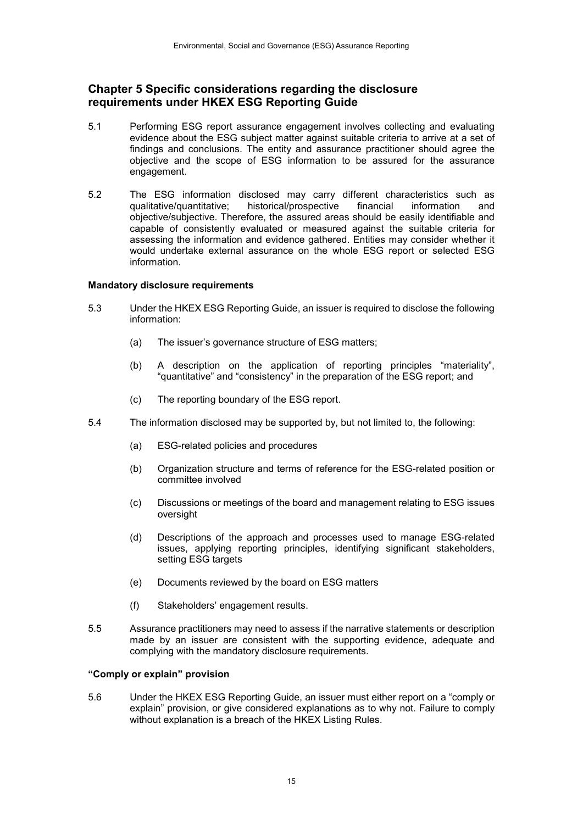## **Chapter 5 Specific considerations regarding the disclosure requirements under HKEX ESG Reporting Guide**

- 5.1 Performing ESG report assurance engagement involves collecting and evaluating evidence about the ESG subject matter against suitable criteria to arrive at a set of findings and conclusions. The entity and assurance practitioner should agree the objective and the scope of ESG information to be assured for the assurance engagement.
- 5.2 The ESG information disclosed may carry different characteristics such as qualitative/quantitative: historical/prospective financial information and qualitative/quantitative; historical/prospective financial information and objective/subjective. Therefore, the assured areas should be easily identifiable and capable of consistently evaluated or measured against the suitable criteria for assessing the information and evidence gathered. Entities may consider whether it would undertake external assurance on the whole ESG report or selected ESG information.

#### **Mandatory disclosure requirements**

- 5.3 Under the HKEX ESG Reporting Guide, an issuer is required to disclose the following information:
	- (a) The issuer's governance structure of ESG matters;
	- (b) A description on the application of reporting principles "materiality", "quantitative" and "consistency" in the preparation of the ESG report; and
	- (c) The reporting boundary of the ESG report.
- 5.4 The information disclosed may be supported by, but not limited to, the following:
	- (a) ESG-related policies and procedures
	- (b) Organization structure and terms of reference for the ESG-related position or committee involved
	- (c) Discussions or meetings of the board and management relating to ESG issues oversight
	- (d) Descriptions of the approach and processes used to manage ESG-related issues, applying reporting principles, identifying significant stakeholders, setting ESG targets
	- (e) Documents reviewed by the board on ESG matters
	- (f) Stakeholders' engagement results.
- 5.5 Assurance practitioners may need to assess if the narrative statements or description made by an issuer are consistent with the supporting evidence, adequate and complying with the mandatory disclosure requirements.

#### **"Comply or explain" provision**

5.6 Under the HKEX ESG Reporting Guide, an issuer must either report on a "comply or explain" provision, or give considered explanations as to why not. Failure to comply without explanation is a breach of the HKEX Listing Rules.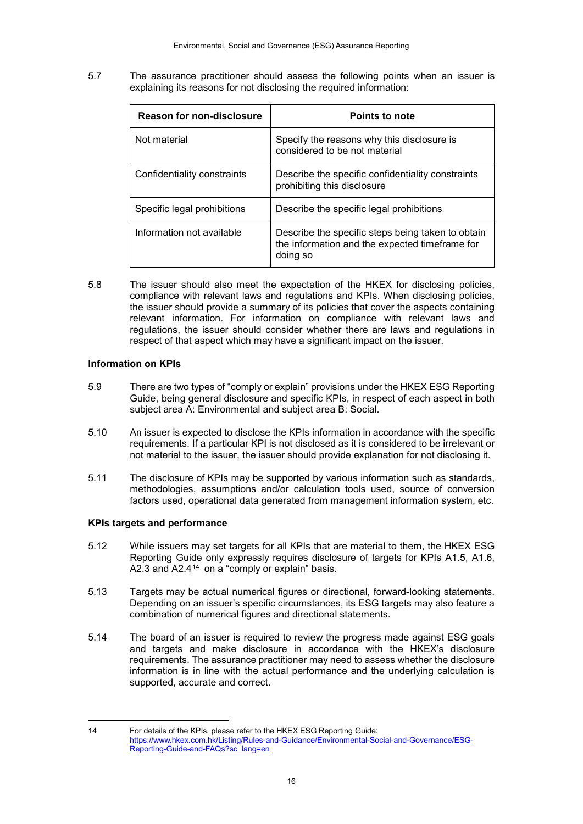5.7 The assurance practitioner should assess the following points when an issuer is explaining its reasons for not disclosing the required information:

| <b>Reason for non-disclosure</b> | Points to note                                                                                                  |
|----------------------------------|-----------------------------------------------------------------------------------------------------------------|
| Not material                     | Specify the reasons why this disclosure is<br>considered to be not material                                     |
| Confidentiality constraints      | Describe the specific confidentiality constraints<br>prohibiting this disclosure                                |
| Specific legal prohibitions      | Describe the specific legal prohibitions                                                                        |
| Information not available        | Describe the specific steps being taken to obtain<br>the information and the expected timeframe for<br>doing so |

5.8 The issuer should also meet the expectation of the HKEX for disclosing policies, compliance with relevant laws and regulations and KPIs. When disclosing policies, the issuer should provide a summary of its policies that cover the aspects containing relevant information. For information on compliance with relevant laws and regulations, the issuer should consider whether there are laws and regulations in respect of that aspect which may have a significant impact on the issuer.

## **Information on KPIs**

- 5.9 There are two types of "comply or explain" provisions under the HKEX ESG Reporting Guide, being general disclosure and specific KPIs, in respect of each aspect in both subject area A: Environmental and subject area B: Social.
- 5.10 An issuer is expected to disclose the KPIs information in accordance with the specific requirements. If a particular KPI is not disclosed as it is considered to be irrelevant or not material to the issuer, the issuer should provide explanation for not disclosing it.
- 5.11 The disclosure of KPIs may be supported by various information such as standards, methodologies, assumptions and/or calculation tools used, source of conversion factors used, operational data generated from management information system, etc.

## **KPIs targets and performance**

- 5.12 While issuers may set targets for all KPIs that are material to them, the HKEX ESG Reporting Guide only expressly requires disclosure of targets for KPIs A1.5, A1.6, A2.3 and  $A2.4^{14}$  $A2.4^{14}$  $A2.4^{14}$  on a "comply or explain" basis.
- 5.13 Targets may be actual numerical figures or directional, forward-looking statements. Depending on an issuer's specific circumstances, its ESG targets may also feature a combination of numerical figures and directional statements.
- 5.14 The board of an issuer is required to review the progress made against ESG goals and targets and make disclosure in accordance with the HKEX's disclosure requirements. The assurance practitioner may need to assess whether the disclosure information is in line with the actual performance and the underlying calculation is supported, accurate and correct.

<sup>-</sup>

<span id="page-15-0"></span><sup>14</sup> For details of the KPIs, please refer to the HKEX ESG Reporting Guide: [https://www.hkex.com.hk/Listing/Rules-and-Guidance/Environmental-Social-and-Governance/ESG-](https://www.hkex.com.hk/Listing/Rules-and-Guidance/Environmental-Social-and-Governance/ESG-Reporting-Guide-and-FAQs?sc_lang=en)[Reporting-Guide-and-FAQs?sc\\_lang=en](https://www.hkex.com.hk/Listing/Rules-and-Guidance/Environmental-Social-and-Governance/ESG-Reporting-Guide-and-FAQs?sc_lang=en)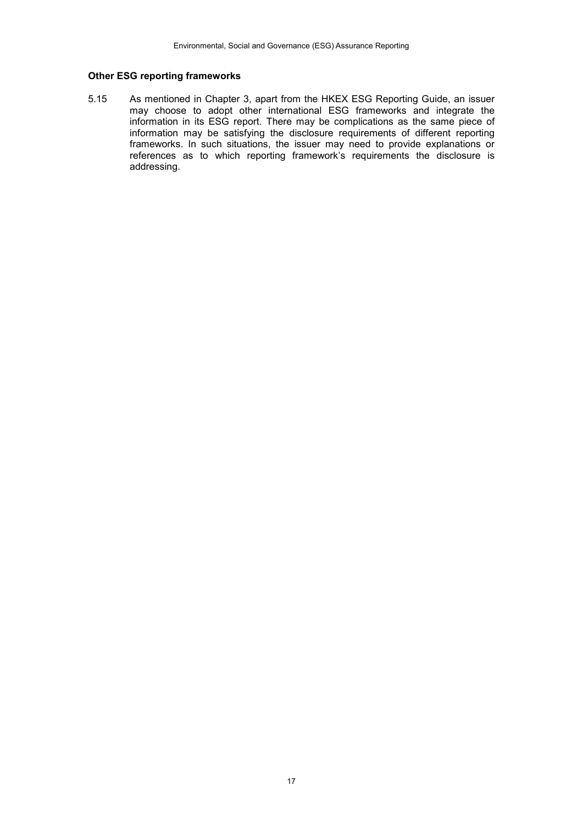#### **Other ESG reporting frameworks**

5.15 As mentioned in Chapter 3, apart from the HKEX ESG Reporting Guide, an issuer may choose to adopt other international ESG frameworks and integrate the information in its ESG report. There may be complications as the same piece of information may be satisfying the disclosure requirements of different reporting frameworks. In such situations, the issuer may need to provide explanations or references as to which reporting framework's requirements the disclosure is addressing.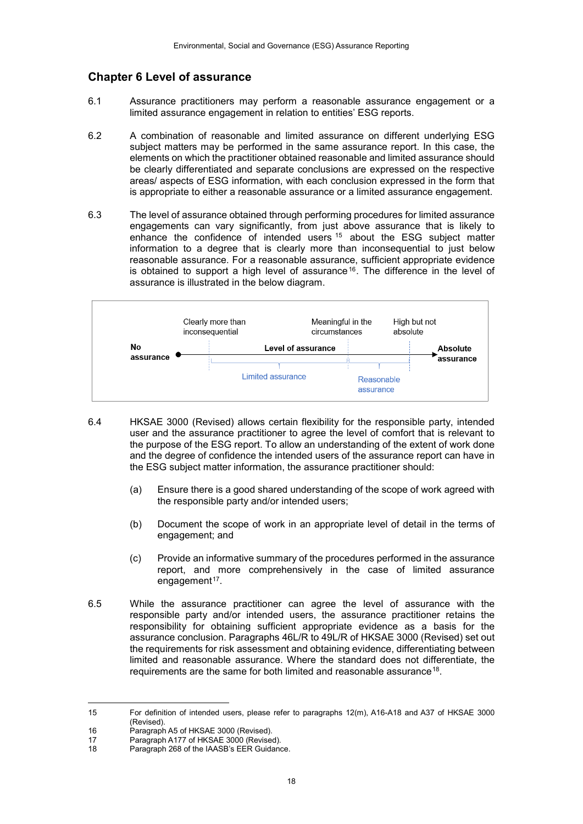## **Chapter 6 Level of assurance**

- 6.1 Assurance practitioners may perform a reasonable assurance engagement or a limited assurance engagement in relation to entities' ESG reports.
- 6.2 A combination of reasonable and limited assurance on different underlying ESG subject matters may be performed in the same assurance report. In this case, the elements on which the practitioner obtained reasonable and limited assurance should be clearly differentiated and separate conclusions are expressed on the respective areas/ aspects of ESG information, with each conclusion expressed in the form that is appropriate to either a reasonable assurance or a limited assurance engagement.
- 6.3 The level of assurance obtained through performing procedures for limited assurance engagements can vary significantly, from just above assurance that is likely to enhance the confidence of intended users <sup>[15](#page-17-0)</sup> about the ESG subject matter information to a degree that is clearly more than inconsequential to just below reasonable assurance. For a reasonable assurance, sufficient appropriate evidence is obtained to support a high level of assurance<sup>[16](#page-17-1)</sup>. The difference in the level of assurance is illustrated in the below diagram.



- 6.4 HKSAE 3000 (Revised) allows certain flexibility for the responsible party, intended user and the assurance practitioner to agree the level of comfort that is relevant to the purpose of the ESG report. To allow an understanding of the extent of work done and the degree of confidence the intended users of the assurance report can have in the ESG subject matter information, the assurance practitioner should:
	- (a) Ensure there is a good shared understanding of the scope of work agreed with the responsible party and/or intended users;
	- (b) Document the scope of work in an appropriate level of detail in the terms of engagement; and
	- (c) Provide an informative summary of the procedures performed in the assurance report, and more comprehensively in the case of limited assurance engagement<sup>[17](#page-17-2)</sup>.
- 6.5 While the assurance practitioner can agree the level of assurance with the responsible party and/or intended users, the assurance practitioner retains the responsibility for obtaining sufficient appropriate evidence as a basis for the assurance conclusion. Paragraphs 46L/R to 49L/R of HKSAE 3000 (Revised) set out the requirements for risk assessment and obtaining evidence, differentiating between limited and reasonable assurance. Where the standard does not differentiate, the requirements are the same for both limited and reasonable assurance[18.](#page-17-3)

<span id="page-17-0"></span> $15$ 15 For definition of intended users, please refer to paragraphs 12(m), A16-A18 and A37 of HKSAE 3000 (Revised).

<span id="page-17-1"></span><sup>16</sup> Paragraph A5 of HKSAE 3000 (Revised).<br>17 Paragraph A177 of HKSAE 3000 (Revise

<span id="page-17-3"></span><span id="page-17-2"></span><sup>17</sup> Paragraph A177 of HKSAE 3000 (Revised).<br>18 Paragraph 268 of the IAASB's EER Guidanc

<sup>18</sup> Paragraph 268 of the IAASB's EER Guidance.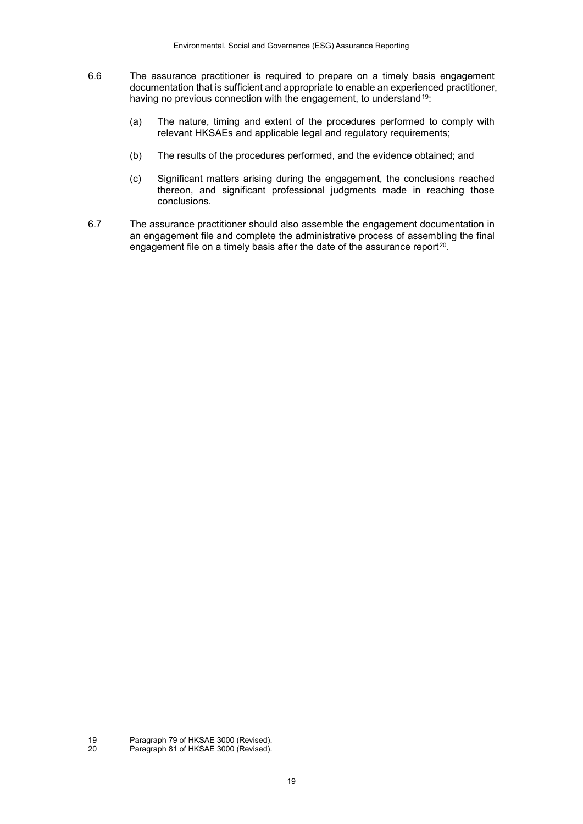- 6.6 The assurance practitioner is required to prepare on a timely basis engagement documentation that is sufficient and appropriate to enable an experienced practitioner, having no previous connection with the engagement, to understand<sup>19</sup>:
	- (a) The nature, timing and extent of the procedures performed to comply with relevant HKSAEs and applicable legal and regulatory requirements;
	- (b) The results of the procedures performed, and the evidence obtained; and
	- (c) Significant matters arising during the engagement, the conclusions reached thereon, and significant professional judgments made in reaching those conclusions.
- 6.7 The assurance practitioner should also assemble the engagement documentation in an engagement file and complete the administrative process of assembling the final engagement file on a timely basis after the date of the assurance report<sup>[20](#page-18-1)</sup>.

1

<span id="page-18-1"></span><span id="page-18-0"></span><sup>19</sup> Paragraph 79 of HKSAE 3000 (Revised).<br>20 Paragraph 81 of HKSAE 3000 (Revised)

Paragraph 81 of HKSAE 3000 (Revised).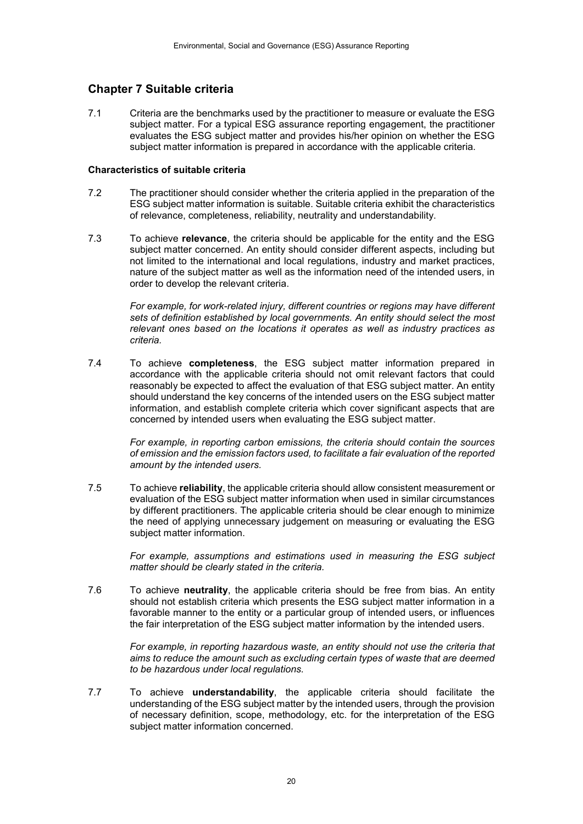# **Chapter 7 Suitable criteria**

7.1 Criteria are the benchmarks used by the practitioner to measure or evaluate the ESG subject matter. For a typical ESG assurance reporting engagement, the practitioner evaluates the ESG subject matter and provides his/her opinion on whether the ESG subject matter information is prepared in accordance with the applicable criteria.

#### **Characteristics of suitable criteria**

- 7.2 The practitioner should consider whether the criteria applied in the preparation of the ESG subject matter information is suitable. Suitable criteria exhibit the characteristics of relevance, completeness, reliability, neutrality and understandability.
- 7.3 To achieve **relevance**, the criteria should be applicable for the entity and the ESG subject matter concerned. An entity should consider different aspects, including but not limited to the international and local regulations, industry and market practices, nature of the subject matter as well as the information need of the intended users, in order to develop the relevant criteria.

*For example, for work-related injury, different countries or regions may have different sets of definition established by local governments. An entity should select the most relevant ones based on the locations it operates as well as industry practices as criteria.*

7.4 To achieve **completeness**, the ESG subject matter information prepared in accordance with the applicable criteria should not omit relevant factors that could reasonably be expected to affect the evaluation of that ESG subject matter. An entity should understand the key concerns of the intended users on the ESG subject matter information, and establish complete criteria which cover significant aspects that are concerned by intended users when evaluating the ESG subject matter.

> *For example, in reporting carbon emissions, the criteria should contain the sources of emission and the emission factors used, to facilitate a fair evaluation of the reported amount by the intended users.*

7.5 To achieve **reliability**, the applicable criteria should allow consistent measurement or evaluation of the ESG subject matter information when used in similar circumstances by different practitioners. The applicable criteria should be clear enough to minimize the need of applying unnecessary judgement on measuring or evaluating the ESG subject matter information.

> *For example, assumptions and estimations used in measuring the ESG subject matter should be clearly stated in the criteria.*

7.6 To achieve **neutrality**, the applicable criteria should be free from bias. An entity should not establish criteria which presents the ESG subject matter information in a favorable manner to the entity or a particular group of intended users, or influences the fair interpretation of the ESG subject matter information by the intended users.

> *For example, in reporting hazardous waste, an entity should not use the criteria that aims to reduce the amount such as excluding certain types of waste that are deemed to be hazardous under local regulations.*

7.7 To achieve **understandability**, the applicable criteria should facilitate the understanding of the ESG subject matter by the intended users, through the provision of necessary definition, scope, methodology, etc. for the interpretation of the ESG subject matter information concerned.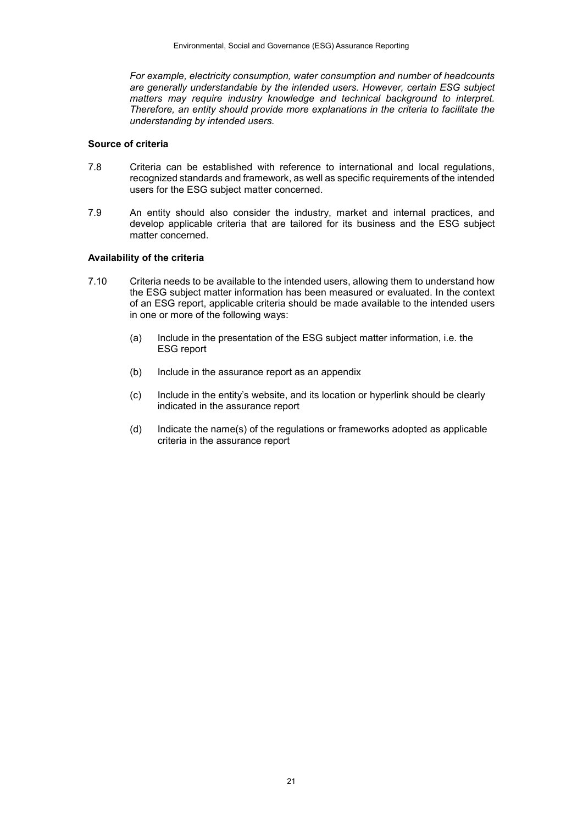*For example, electricity consumption, water consumption and number of headcounts are generally understandable by the intended users. However, certain ESG subject matters may require industry knowledge and technical background to interpret. Therefore, an entity should provide more explanations in the criteria to facilitate the understanding by intended users.*

#### **Source of criteria**

- 7.8 Criteria can be established with reference to international and local regulations, recognized standards and framework, as well as specific requirements of the intended users for the ESG subject matter concerned.
- 7.9 An entity should also consider the industry, market and internal practices, and develop applicable criteria that are tailored for its business and the ESG subject matter concerned.

#### **Availability of the criteria**

- 7.10 Criteria needs to be available to the intended users, allowing them to understand how the ESG subject matter information has been measured or evaluated. In the context of an ESG report, applicable criteria should be made available to the intended users in one or more of the following ways:
	- (a) Include in the presentation of the ESG subject matter information, i.e. the ESG report
	- (b) Include in the assurance report as an appendix
	- (c) Include in the entity's website, and its location or hyperlink should be clearly indicated in the assurance report
	- (d) Indicate the name(s) of the regulations or frameworks adopted as applicable criteria in the assurance report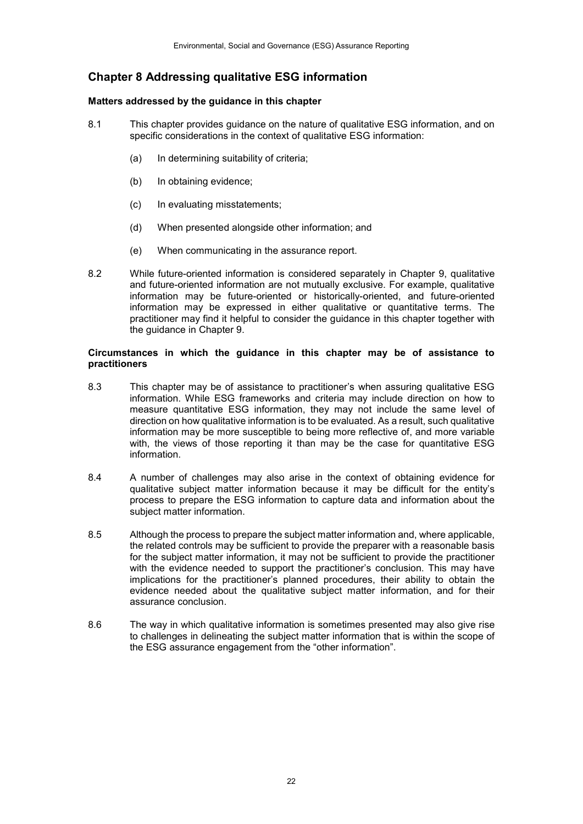# **Chapter 8 Addressing qualitative ESG information**

#### **Matters addressed by the guidance in this chapter**

- 8.1 This chapter provides guidance on the nature of qualitative ESG information, and on specific considerations in the context of qualitative ESG information:
	- (a) In determining suitability of criteria;
	- (b) In obtaining evidence;
	- (c) In evaluating misstatements;
	- (d) When presented alongside other information; and
	- (e) When communicating in the assurance report.
- 8.2 While future-oriented information is considered separately in Chapter 9, qualitative and future-oriented information are not mutually exclusive. For example, qualitative information may be future-oriented or historically-oriented, and future-oriented information may be expressed in either qualitative or quantitative terms. The practitioner may find it helpful to consider the guidance in this chapter together with the guidance in Chapter 9.

#### **Circumstances in which the guidance in this chapter may be of assistance to practitioners**

- 8.3 This chapter may be of assistance to practitioner's when assuring qualitative ESG information. While ESG frameworks and criteria may include direction on how to measure quantitative ESG information, they may not include the same level of direction on how qualitative information is to be evaluated. As a result, such qualitative information may be more susceptible to being more reflective of, and more variable with, the views of those reporting it than may be the case for quantitative ESG information.
- 8.4 A number of challenges may also arise in the context of obtaining evidence for qualitative subject matter information because it may be difficult for the entity's process to prepare the ESG information to capture data and information about the subject matter information.
- 8.5 Although the process to prepare the subject matter information and, where applicable, the related controls may be sufficient to provide the preparer with a reasonable basis for the subject matter information, it may not be sufficient to provide the practitioner with the evidence needed to support the practitioner's conclusion. This may have implications for the practitioner's planned procedures, their ability to obtain the evidence needed about the qualitative subject matter information, and for their assurance conclusion.
- 8.6 The way in which qualitative information is sometimes presented may also give rise to challenges in delineating the subject matter information that is within the scope of the ESG assurance engagement from the "other information".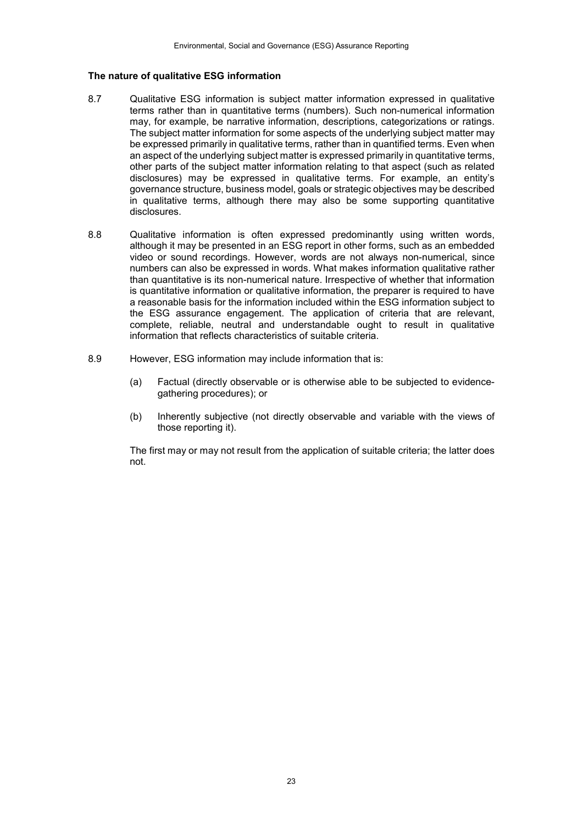#### **The nature of qualitative ESG information**

- 8.7 Qualitative ESG information is subject matter information expressed in qualitative terms rather than in quantitative terms (numbers). Such non-numerical information may, for example, be narrative information, descriptions, categorizations or ratings. The subject matter information for some aspects of the underlying subject matter may be expressed primarily in qualitative terms, rather than in quantified terms. Even when an aspect of the underlying subject matter is expressed primarily in quantitative terms, other parts of the subject matter information relating to that aspect (such as related disclosures) may be expressed in qualitative terms. For example, an entity's governance structure, business model, goals or strategic objectives may be described in qualitative terms, although there may also be some supporting quantitative disclosures.
- 8.8 Qualitative information is often expressed predominantly using written words, although it may be presented in an ESG report in other forms, such as an embedded video or sound recordings. However, words are not always non-numerical, since numbers can also be expressed in words. What makes information qualitative rather than quantitative is its non-numerical nature. Irrespective of whether that information is quantitative information or qualitative information, the preparer is required to have a reasonable basis for the information included within the ESG information subject to the ESG assurance engagement. The application of criteria that are relevant, complete, reliable, neutral and understandable ought to result in qualitative information that reflects characteristics of suitable criteria.
- 8.9 However, ESG information may include information that is:
	- (a) Factual (directly observable or is otherwise able to be subjected to evidencegathering procedures); or
	- (b) Inherently subjective (not directly observable and variable with the views of those reporting it).

The first may or may not result from the application of suitable criteria; the latter does not.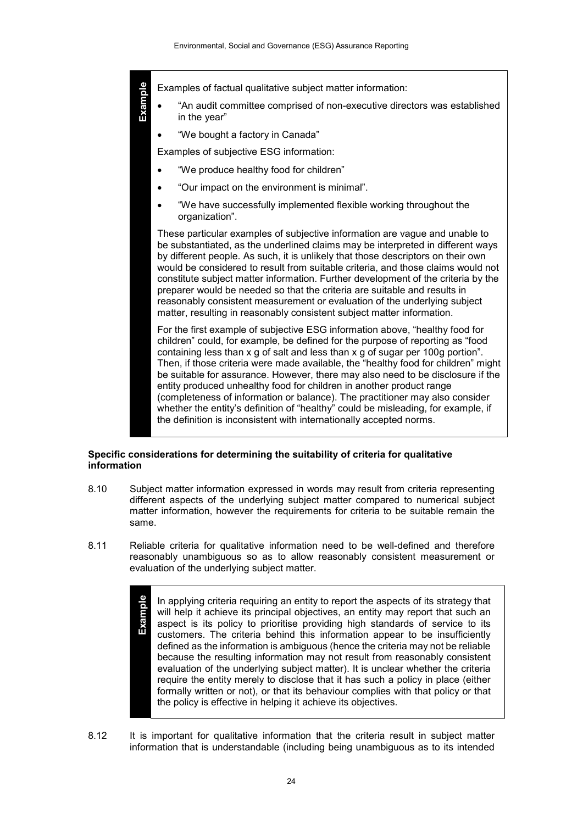**Example**

Examples of factual qualitative subject matter information:

- "An audit committee comprised of non-executive directors was established in the year"
- "We bought a factory in Canada"

Examples of subjective ESG information:

- "We produce healthy food for children"
- "Our impact on the environment is minimal".
- "We have successfully implemented flexible working throughout the organization".

These particular examples of subjective information are vague and unable to be substantiated, as the underlined claims may be interpreted in different ways by different people. As such, it is unlikely that those descriptors on their own would be considered to result from suitable criteria, and those claims would not constitute subject matter information. Further development of the criteria by the preparer would be needed so that the criteria are suitable and results in reasonably consistent measurement or evaluation of the underlying subject matter, resulting in reasonably consistent subject matter information.

For the first example of subjective ESG information above, "healthy food for children" could, for example, be defined for the purpose of reporting as "food containing less than x g of salt and less than x g of sugar per 100g portion". Then, if those criteria were made available, the "healthy food for children" might be suitable for assurance. However, there may also need to be disclosure if the entity produced unhealthy food for children in another product range (completeness of information or balance). The practitioner may also consider whether the entity's definition of "healthy" could be misleading, for example, if the definition is inconsistent with internationally accepted norms.

#### **Specific considerations for determining the suitability of criteria for qualitative information**

- 8.10 Subject matter information expressed in words may result from criteria representing different aspects of the underlying subject matter compared to numerical subject matter information, however the requirements for criteria to be suitable remain the same.
- 8.11 Reliable criteria for qualitative information need to be well-defined and therefore reasonably unambiguous so as to allow reasonably consistent measurement or evaluation of the underlying subject matter.
	- **Example** In applying criteria requiring an entity to report the aspects of its strategy that will help it achieve its principal objectives, an entity may report that such an aspect is its policy to prioritise providing high standards of service to its customers. The criteria behind this information appear to be insufficiently defined as the information is ambiguous (hence the criteria may not be reliable because the resulting information may not result from reasonably consistent evaluation of the underlying subject matter). It is unclear whether the criteria require the entity merely to disclose that it has such a policy in place (either formally written or not), or that its behaviour complies with that policy or that the policy is effective in helping it achieve its objectives.
- 8.12 It is important for qualitative information that the criteria result in subject matter information that is understandable (including being unambiguous as to its intended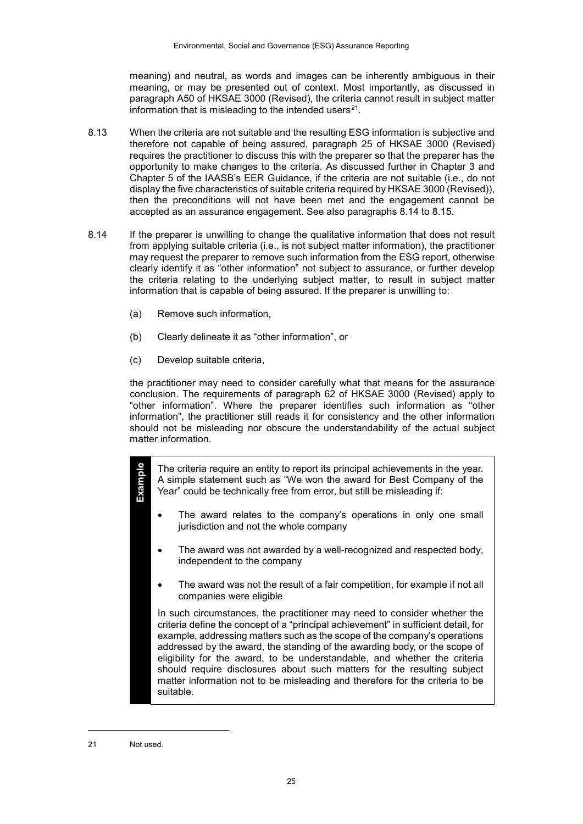meaning) and neutral, as words and images can be inherently ambiguous in their meaning, or may be presented out of context. Most importantly, as discussed in paragraph A50 of HKSAE 3000 (Revised), the criteria cannot result in subject matter information that is misleading to the intended users $21$ .

- 8.13 When the criteria are not suitable and the resulting ESG information is subjective and therefore not capable of being assured, paragraph 25 of HKSAE 3000 (Revised) requires the practitioner to discuss this with the preparer so that the preparer has the opportunity to make changes to the criteria. As discussed further in Chapter 3 and Chapter 5 of the IAASB's EER Guidance, if the criteria are not suitable (i.e., do not display the five characteristics of suitable criteria required by HKSAE 3000 (Revised)), then the preconditions will not have been met and the engagement cannot be accepted as an assurance engagement. See also paragraphs 8.14 to 8.15.
- 8.14 If the preparer is unwilling to change the qualitative information that does not result from applying suitable criteria (i.e., is not subject matter information), the practitioner may request the preparer to remove such information from the ESG report, otherwise clearly identify it as "other information" not subject to assurance, or further develop the criteria relating to the underlying subject matter, to result in subject matter information that is capable of being assured. If the preparer is unwilling to:
	- (a) Remove such information,
	- (b) Clearly delineate it as "other information", or
	- (c) Develop suitable criteria,

the practitioner may need to consider carefully what that means for the assurance conclusion. The requirements of paragraph 62 of HKSAE 3000 (Revised) apply to "other information". Where the preparer identifies such information as "other information", the practitioner still reads it for consistency and the other information should not be misleading nor obscure the understandability of the actual subject matter information.

The criteria require an entity to report its principal achievements in the year. A simple statement such as "We won the award for Best Company of the Year" could be technically free from error, but still be misleading if:

- The award relates to the company's operations in only one small jurisdiction and not the whole company
- The award was not awarded by a well-recognized and respected body, independent to the company
- The award was not the result of a fair competition, for example if not all companies were eligible

In such circumstances, the practitioner may need to consider whether the criteria define the concept of a "principal achievement" in sufficient detail, for example, addressing matters such as the scope of the company's operations addressed by the award, the standing of the awarding body, or the scope of eligibility for the award, to be understandable, and whether the criteria should require disclosures about such matters for the resulting subject matter information not to be misleading and therefore for the criteria to be suitable.

1

**Example**

<span id="page-24-0"></span><sup>21</sup> Not used.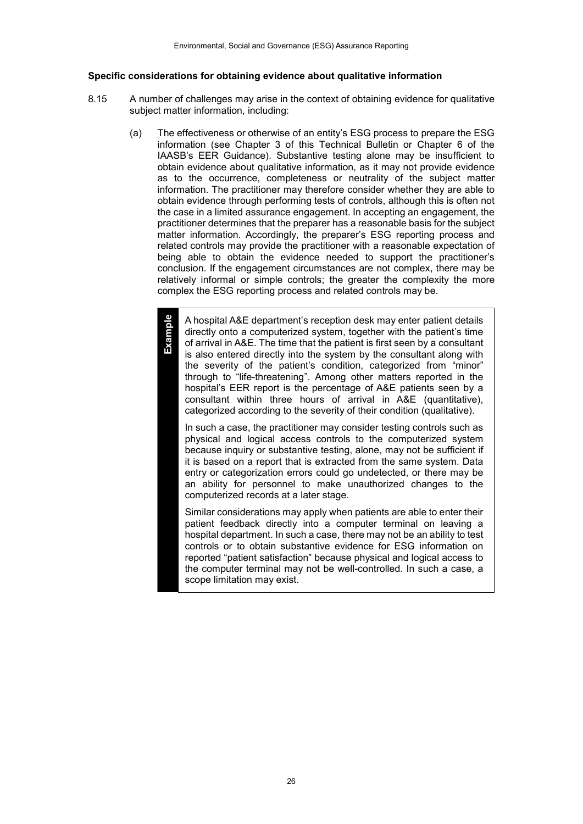#### **Specific considerations for obtaining evidence about qualitative information**

**Example**

- 8.15 A number of challenges may arise in the context of obtaining evidence for qualitative subject matter information, including:
	- (a) The effectiveness or otherwise of an entity's ESG process to prepare the ESG information (see Chapter 3 of this Technical Bulletin or Chapter 6 of the IAASB's EER Guidance). Substantive testing alone may be insufficient to obtain evidence about qualitative information, as it may not provide evidence as to the occurrence, completeness or neutrality of the subject matter information. The practitioner may therefore consider whether they are able to obtain evidence through performing tests of controls, although this is often not the case in a limited assurance engagement. In accepting an engagement, the practitioner determines that the preparer has a reasonable basis for the subject matter information. Accordingly, the preparer's ESG reporting process and related controls may provide the practitioner with a reasonable expectation of being able to obtain the evidence needed to support the practitioner's conclusion. If the engagement circumstances are not complex, there may be relatively informal or simple controls; the greater the complexity the more complex the ESG reporting process and related controls may be.

A hospital A&E department's reception desk may enter patient details directly onto a computerized system, together with the patient's time of arrival in A&E. The time that the patient is first seen by a consultant is also entered directly into the system by the consultant along with the severity of the patient's condition, categorized from "minor" through to "life-threatening". Among other matters reported in the hospital's EER report is the percentage of A&E patients seen by a consultant within three hours of arrival in A&E (quantitative), categorized according to the severity of their condition (qualitative).

In such a case, the practitioner may consider testing controls such as physical and logical access controls to the computerized system because inquiry or substantive testing, alone, may not be sufficient if it is based on a report that is extracted from the same system. Data entry or categorization errors could go undetected, or there may be an ability for personnel to make unauthorized changes to the computerized records at a later stage.

Similar considerations may apply when patients are able to enter their patient feedback directly into a computer terminal on leaving a hospital department. In such a case, there may not be an ability to test controls or to obtain substantive evidence for ESG information on reported "patient satisfaction" because physical and logical access to the computer terminal may not be well-controlled. In such a case, a scope limitation may exist.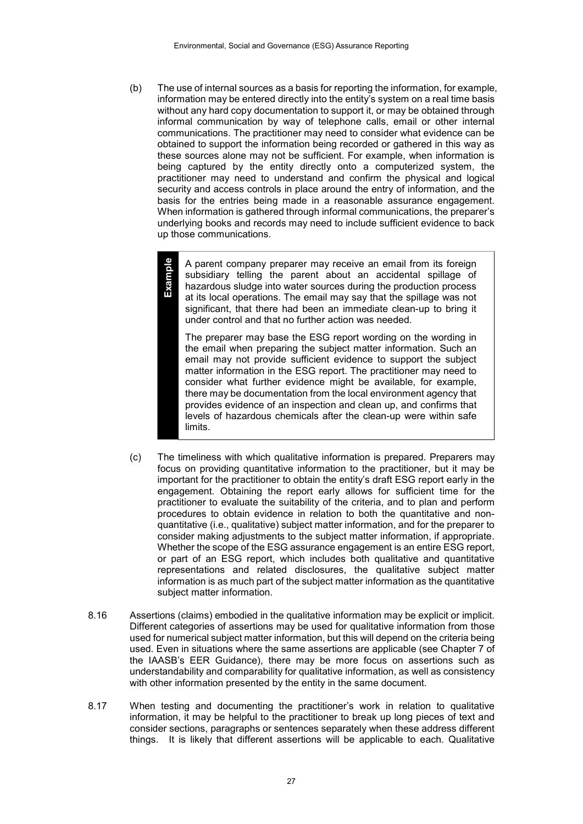(b) The use of internal sources as a basis for reporting the information, for example, information may be entered directly into the entity's system on a real time basis without any hard copy documentation to support it, or may be obtained through informal communication by way of telephone calls, email or other internal communications. The practitioner may need to consider what evidence can be obtained to support the information being recorded or gathered in this way as these sources alone may not be sufficient. For example, when information is being captured by the entity directly onto a computerized system, the practitioner may need to understand and confirm the physical and logical security and access controls in place around the entry of information, and the basis for the entries being made in a reasonable assurance engagement. When information is gathered through informal communications, the preparer's underlying books and records may need to include sufficient evidence to back up those communications.

> A parent company preparer may receive an email from its foreign subsidiary telling the parent about an accidental spillage of hazardous sludge into water sources during the production process at its local operations. The email may say that the spillage was not significant, that there had been an immediate clean-up to bring it under control and that no further action was needed.

**Example**

The preparer may base the ESG report wording on the wording in the email when preparing the subject matter information. Such an email may not provide sufficient evidence to support the subject matter information in the ESG report. The practitioner may need to consider what further evidence might be available, for example, there may be documentation from the local environment agency that provides evidence of an inspection and clean up, and confirms that levels of hazardous chemicals after the clean-up were within safe limits.

- (c) The timeliness with which qualitative information is prepared. Preparers may focus on providing quantitative information to the practitioner, but it may be important for the practitioner to obtain the entity's draft ESG report early in the engagement. Obtaining the report early allows for sufficient time for the practitioner to evaluate the suitability of the criteria, and to plan and perform procedures to obtain evidence in relation to both the quantitative and nonquantitative (i.e., qualitative) subject matter information, and for the preparer to consider making adjustments to the subject matter information, if appropriate. Whether the scope of the ESG assurance engagement is an entire ESG report, or part of an ESG report, which includes both qualitative and quantitative representations and related disclosures, the qualitative subject matter information is as much part of the subject matter information as the quantitative subject matter information.
- 8.16 Assertions (claims) embodied in the qualitative information may be explicit or implicit. Different categories of assertions may be used for qualitative information from those used for numerical subject matter information, but this will depend on the criteria being used. Even in situations where the same assertions are applicable (see Chapter 7 of the IAASB's EER Guidance), there may be more focus on assertions such as understandability and comparability for qualitative information, as well as consistency with other information presented by the entity in the same document.
- 8.17 When testing and documenting the practitioner's work in relation to qualitative information, it may be helpful to the practitioner to break up long pieces of text and consider sections, paragraphs or sentences separately when these address different things. It is likely that different assertions will be applicable to each. Qualitative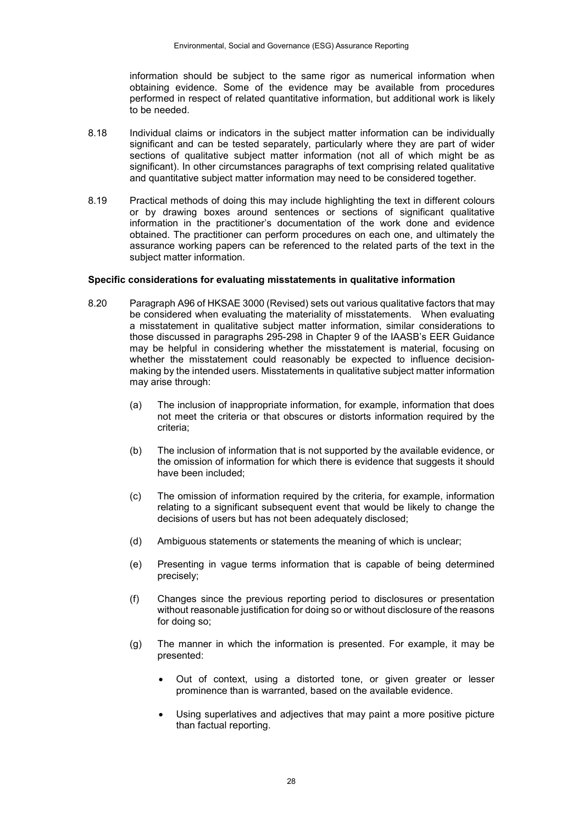information should be subject to the same rigor as numerical information when obtaining evidence. Some of the evidence may be available from procedures performed in respect of related quantitative information, but additional work is likely to be needed.

- 8.18 Individual claims or indicators in the subject matter information can be individually significant and can be tested separately, particularly where they are part of wider sections of qualitative subject matter information (not all of which might be as significant). In other circumstances paragraphs of text comprising related qualitative and quantitative subject matter information may need to be considered together.
- 8.19 Practical methods of doing this may include highlighting the text in different colours or by drawing boxes around sentences or sections of significant qualitative information in the practitioner's documentation of the work done and evidence obtained. The practitioner can perform procedures on each one, and ultimately the assurance working papers can be referenced to the related parts of the text in the subject matter information.

#### **Specific considerations for evaluating misstatements in qualitative information**

- 8.20 Paragraph A96 of HKSAE 3000 (Revised) sets out various qualitative factors that may be considered when evaluating the materiality of misstatements. When evaluating a misstatement in qualitative subject matter information, similar considerations to those discussed in paragraphs 295-298 in Chapter 9 of the IAASB's EER Guidance may be helpful in considering whether the misstatement is material, focusing on whether the misstatement could reasonably be expected to influence decisionmaking by the intended users. Misstatements in qualitative subject matter information may arise through:
	- (a) The inclusion of inappropriate information, for example, information that does not meet the criteria or that obscures or distorts information required by the criteria;
	- (b) The inclusion of information that is not supported by the available evidence, or the omission of information for which there is evidence that suggests it should have been included;
	- (c) The omission of information required by the criteria, for example, information relating to a significant subsequent event that would be likely to change the decisions of users but has not been adequately disclosed;
	- (d) Ambiguous statements or statements the meaning of which is unclear;
	- (e) Presenting in vague terms information that is capable of being determined precisely;
	- (f) Changes since the previous reporting period to disclosures or presentation without reasonable justification for doing so or without disclosure of the reasons for doing so;
	- (g) The manner in which the information is presented. For example, it may be presented:
		- Out of context, using a distorted tone, or given greater or lesser prominence than is warranted, based on the available evidence.
		- Using superlatives and adjectives that may paint a more positive picture than factual reporting.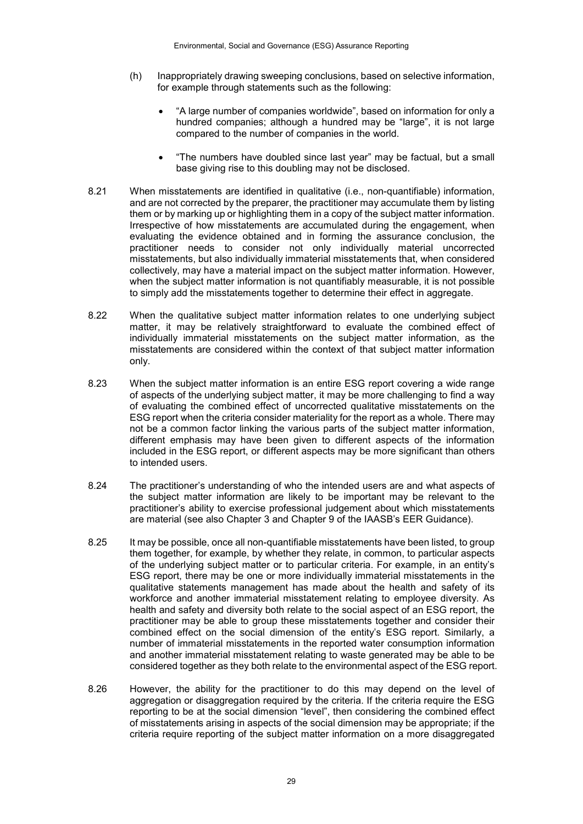- (h) Inappropriately drawing sweeping conclusions, based on selective information, for example through statements such as the following:
	- "A large number of companies worldwide", based on information for only a hundred companies; although a hundred may be "large", it is not large compared to the number of companies in the world.
	- "The numbers have doubled since last year" may be factual, but a small base giving rise to this doubling may not be disclosed.
- 8.21 When misstatements are identified in qualitative (i.e., non-quantifiable) information, and are not corrected by the preparer, the practitioner may accumulate them by listing them or by marking up or highlighting them in a copy of the subject matter information. Irrespective of how misstatements are accumulated during the engagement, when evaluating the evidence obtained and in forming the assurance conclusion, the practitioner needs to consider not only individually material uncorrected misstatements, but also individually immaterial misstatements that, when considered collectively, may have a material impact on the subject matter information. However, when the subject matter information is not quantifiably measurable, it is not possible to simply add the misstatements together to determine their effect in aggregate.
- 8.22 When the qualitative subject matter information relates to one underlying subject matter, it may be relatively straightforward to evaluate the combined effect of individually immaterial misstatements on the subject matter information, as the misstatements are considered within the context of that subject matter information only.
- 8.23 When the subject matter information is an entire ESG report covering a wide range of aspects of the underlying subject matter, it may be more challenging to find a way of evaluating the combined effect of uncorrected qualitative misstatements on the ESG report when the criteria consider materiality for the report as a whole. There may not be a common factor linking the various parts of the subject matter information, different emphasis may have been given to different aspects of the information included in the ESG report, or different aspects may be more significant than others to intended users.
- 8.24 The practitioner's understanding of who the intended users are and what aspects of the subject matter information are likely to be important may be relevant to the practitioner's ability to exercise professional judgement about which misstatements are material (see also Chapter 3 and Chapter 9 of the IAASB's EER Guidance).
- 8.25 It may be possible, once all non-quantifiable misstatements have been listed, to group them together, for example, by whether they relate, in common, to particular aspects of the underlying subject matter or to particular criteria. For example, in an entity's ESG report, there may be one or more individually immaterial misstatements in the qualitative statements management has made about the health and safety of its workforce and another immaterial misstatement relating to employee diversity. As health and safety and diversity both relate to the social aspect of an ESG report, the practitioner may be able to group these misstatements together and consider their combined effect on the social dimension of the entity's ESG report. Similarly, a number of immaterial misstatements in the reported water consumption information and another immaterial misstatement relating to waste generated may be able to be considered together as they both relate to the environmental aspect of the ESG report.
- 8.26 However, the ability for the practitioner to do this may depend on the level of aggregation or disaggregation required by the criteria. If the criteria require the ESG reporting to be at the social dimension "level", then considering the combined effect of misstatements arising in aspects of the social dimension may be appropriate; if the criteria require reporting of the subject matter information on a more disaggregated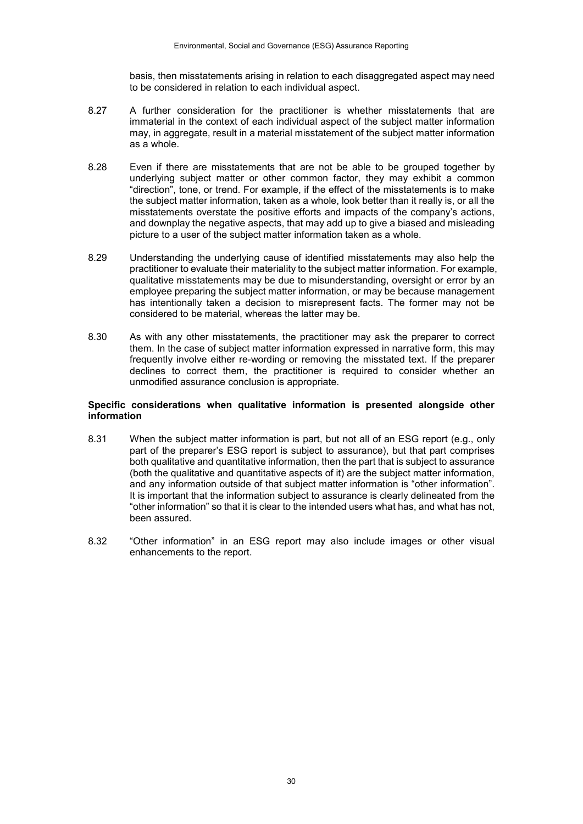basis, then misstatements arising in relation to each disaggregated aspect may need to be considered in relation to each individual aspect.

- 8.27 A further consideration for the practitioner is whether misstatements that are immaterial in the context of each individual aspect of the subject matter information may, in aggregate, result in a material misstatement of the subject matter information as a whole.
- 8.28 Even if there are misstatements that are not be able to be grouped together by underlying subject matter or other common factor, they may exhibit a common "direction", tone, or trend. For example, if the effect of the misstatements is to make the subject matter information, taken as a whole, look better than it really is, or all the misstatements overstate the positive efforts and impacts of the company's actions, and downplay the negative aspects, that may add up to give a biased and misleading picture to a user of the subject matter information taken as a whole.
- 8.29 Understanding the underlying cause of identified misstatements may also help the practitioner to evaluate their materiality to the subject matter information. For example, qualitative misstatements may be due to misunderstanding, oversight or error by an employee preparing the subject matter information, or may be because management has intentionally taken a decision to misrepresent facts. The former may not be considered to be material, whereas the latter may be.
- 8.30 As with any other misstatements, the practitioner may ask the preparer to correct them. In the case of subject matter information expressed in narrative form, this may frequently involve either re-wording or removing the misstated text. If the preparer declines to correct them, the practitioner is required to consider whether an unmodified assurance conclusion is appropriate.

#### **Specific considerations when qualitative information is presented alongside other information**

- 8.31 When the subject matter information is part, but not all of an ESG report (e.g., only part of the preparer's ESG report is subject to assurance), but that part comprises both qualitative and quantitative information, then the part that is subject to assurance (both the qualitative and quantitative aspects of it) are the subject matter information, and any information outside of that subject matter information is "other information". It is important that the information subject to assurance is clearly delineated from the "other information" so that it is clear to the intended users what has, and what has not, been assured.
- 8.32 "Other information" in an ESG report may also include images or other visual enhancements to the report.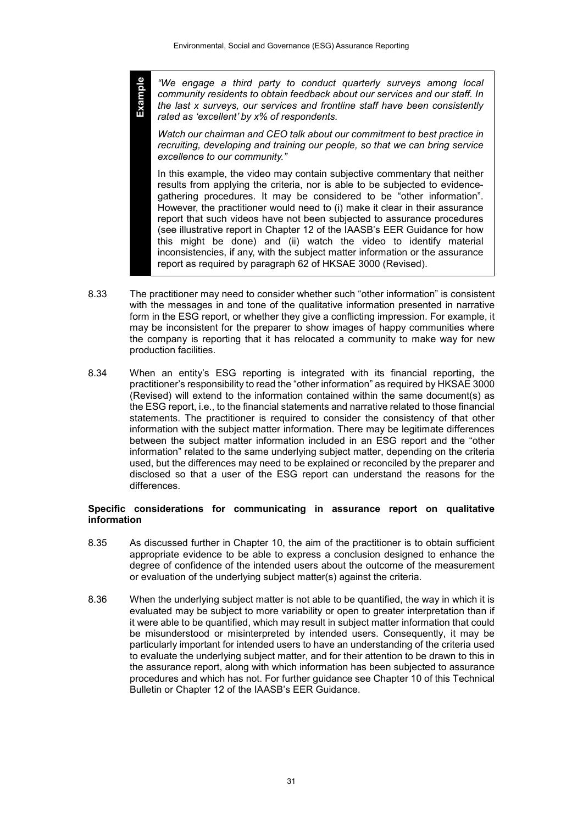**Example**

*"We engage a third party to conduct quarterly surveys among local community residents to obtain feedback about our services and our staff. In the last x surveys, our services and frontline staff have been consistently rated as 'excellent' by x% of respondents.* 

*Watch our chairman and CEO talk about our commitment to best practice in recruiting, developing and training our people, so that we can bring service excellence to our community."*

In this example, the video may contain subjective commentary that neither results from applying the criteria, nor is able to be subjected to evidencegathering procedures. It may be considered to be "other information". However, the practitioner would need to (i) make it clear in their assurance report that such videos have not been subjected to assurance procedures (see illustrative report in Chapter 12 of the IAASB's EER Guidance for how this might be done) and (ii) watch the video to identify material inconsistencies, if any, with the subject matter information or the assurance report as required by paragraph 62 of HKSAE 3000 (Revised).

- 8.33 The practitioner may need to consider whether such "other information" is consistent with the messages in and tone of the qualitative information presented in narrative form in the ESG report, or whether they give a conflicting impression. For example, it may be inconsistent for the preparer to show images of happy communities where the company is reporting that it has relocated a community to make way for new production facilities.
- 8.34 When an entity's ESG reporting is integrated with its financial reporting, the practitioner's responsibility to read the "other information" as required by HKSAE 3000 (Revised) will extend to the information contained within the same document(s) as the ESG report, i.e., to the financial statements and narrative related to those financial statements. The practitioner is required to consider the consistency of that other information with the subject matter information. There may be legitimate differences between the subject matter information included in an ESG report and the "other information" related to the same underlying subject matter, depending on the criteria used, but the differences may need to be explained or reconciled by the preparer and disclosed so that a user of the ESG report can understand the reasons for the differences.

#### **Specific considerations for communicating in assurance report on qualitative information**

- 8.35 As discussed further in Chapter 10, the aim of the practitioner is to obtain sufficient appropriate evidence to be able to express a conclusion designed to enhance the degree of confidence of the intended users about the outcome of the measurement or evaluation of the underlying subject matter(s) against the criteria.
- 8.36 When the underlying subject matter is not able to be quantified, the way in which it is evaluated may be subject to more variability or open to greater interpretation than if it were able to be quantified, which may result in subject matter information that could be misunderstood or misinterpreted by intended users. Consequently, it may be particularly important for intended users to have an understanding of the criteria used to evaluate the underlying subject matter, and for their attention to be drawn to this in the assurance report, along with which information has been subjected to assurance procedures and which has not. For further guidance see Chapter 10 of this Technical Bulletin or Chapter 12 of the IAASB's EER Guidance.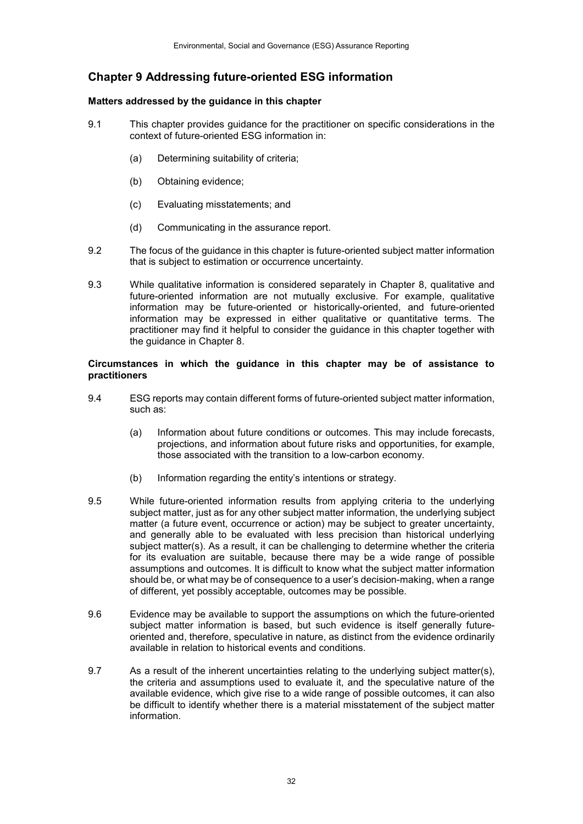# **Chapter 9 Addressing future-oriented ESG information**

## **Matters addressed by the guidance in this chapter**

- 9.1 This chapter provides guidance for the practitioner on specific considerations in the context of future-oriented ESG information in:
	- (a) Determining suitability of criteria;
	- (b) Obtaining evidence;
	- (c) Evaluating misstatements; and
	- (d) Communicating in the assurance report.
- 9.2 The focus of the guidance in this chapter is future-oriented subject matter information that is subject to estimation or occurrence uncertainty.
- 9.3 While qualitative information is considered separately in Chapter 8, qualitative and future-oriented information are not mutually exclusive. For example, qualitative information may be future-oriented or historically-oriented, and future-oriented information may be expressed in either qualitative or quantitative terms. The practitioner may find it helpful to consider the guidance in this chapter together with the guidance in Chapter 8.

#### **Circumstances in which the guidance in this chapter may be of assistance to practitioners**

- 9.4 ESG reports may contain different forms of future-oriented subject matter information, such as:
	- (a) Information about future conditions or outcomes. This may include forecasts, projections, and information about future risks and opportunities, for example, those associated with the transition to a low-carbon economy.
	- (b) Information regarding the entity's intentions or strategy.
- 9.5 While future-oriented information results from applying criteria to the underlying subject matter, just as for any other subject matter information, the underlying subject matter (a future event, occurrence or action) may be subject to greater uncertainty, and generally able to be evaluated with less precision than historical underlying subject matter(s). As a result, it can be challenging to determine whether the criteria for its evaluation are suitable, because there may be a wide range of possible assumptions and outcomes. It is difficult to know what the subject matter information should be, or what may be of consequence to a user's decision-making, when a range of different, yet possibly acceptable, outcomes may be possible.
- 9.6 Evidence may be available to support the assumptions on which the future-oriented subject matter information is based, but such evidence is itself generally futureoriented and, therefore, speculative in nature, as distinct from the evidence ordinarily available in relation to historical events and conditions.
- 9.7 As a result of the inherent uncertainties relating to the underlying subject matter(s), the criteria and assumptions used to evaluate it, and the speculative nature of the available evidence, which give rise to a wide range of possible outcomes, it can also be difficult to identify whether there is a material misstatement of the subject matter information.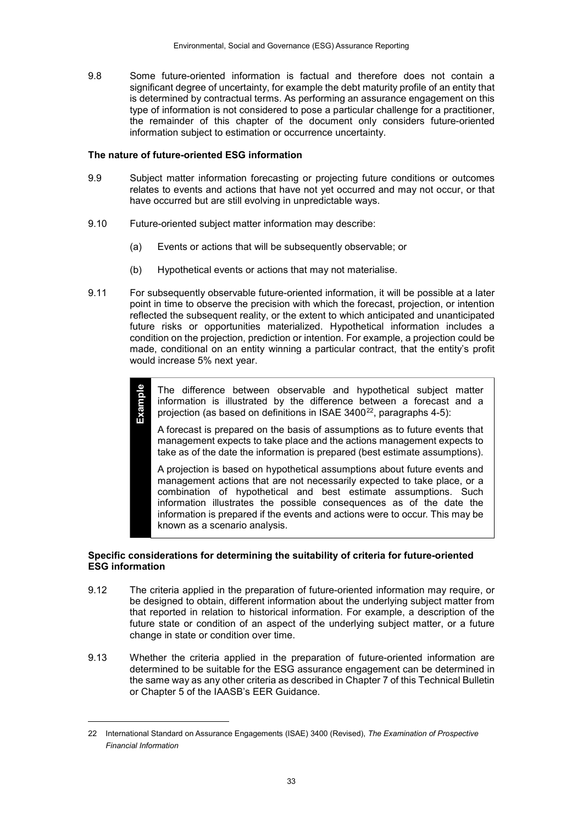9.8 Some future-oriented information is factual and therefore does not contain a significant degree of uncertainty, for example the debt maturity profile of an entity that is determined by contractual terms. As performing an assurance engagement on this type of information is not considered to pose a particular challenge for a practitioner, the remainder of this chapter of the document only considers future-oriented information subject to estimation or occurrence uncertainty.

#### **The nature of future-oriented ESG information**

**Example**

1

- 9.9 Subject matter information forecasting or projecting future conditions or outcomes relates to events and actions that have not yet occurred and may not occur, or that have occurred but are still evolving in unpredictable ways.
- 9.10 Future-oriented subject matter information may describe:
	- (a) Events or actions that will be subsequently observable; or
	- (b) Hypothetical events or actions that may not materialise.
- 9.11 For subsequently observable future-oriented information, it will be possible at a later point in time to observe the precision with which the forecast, projection, or intention reflected the subsequent reality, or the extent to which anticipated and unanticipated future risks or opportunities materialized. Hypothetical information includes a condition on the projection, prediction or intention. For example, a projection could be made, conditional on an entity winning a particular contract, that the entity's profit would increase 5% next year.

The difference between observable and hypothetical subject matter information is illustrated by the difference between a forecast and a projection (as based on definitions in ISAE  $3400^{22}$ , paragraphs 4-5):

A forecast is prepared on the basis of assumptions as to future events that management expects to take place and the actions management expects to take as of the date the information is prepared (best estimate assumptions).

A projection is based on hypothetical assumptions about future events and management actions that are not necessarily expected to take place, or a combination of hypothetical and best estimate assumptions. Such information illustrates the possible consequences as of the date the information is prepared if the events and actions were to occur. This may be known as a scenario analysis.

#### **Specific considerations for determining the suitability of criteria for future-oriented ESG information**

- 9.12 The criteria applied in the preparation of future-oriented information may require, or be designed to obtain, different information about the underlying subject matter from that reported in relation to historical information. For example, a description of the future state or condition of an aspect of the underlying subject matter, or a future change in state or condition over time.
- 9.13 Whether the criteria applied in the preparation of future-oriented information are determined to be suitable for the ESG assurance engagement can be determined in the same way as any other criteria as described in Chapter 7 of this Technical Bulletin or Chapter 5 of the IAASB's EER Guidance.

<span id="page-32-0"></span><sup>22</sup> International Standard on Assurance Engagements (ISAE) 3400 (Revised), *The Examination of Prospective Financial Information*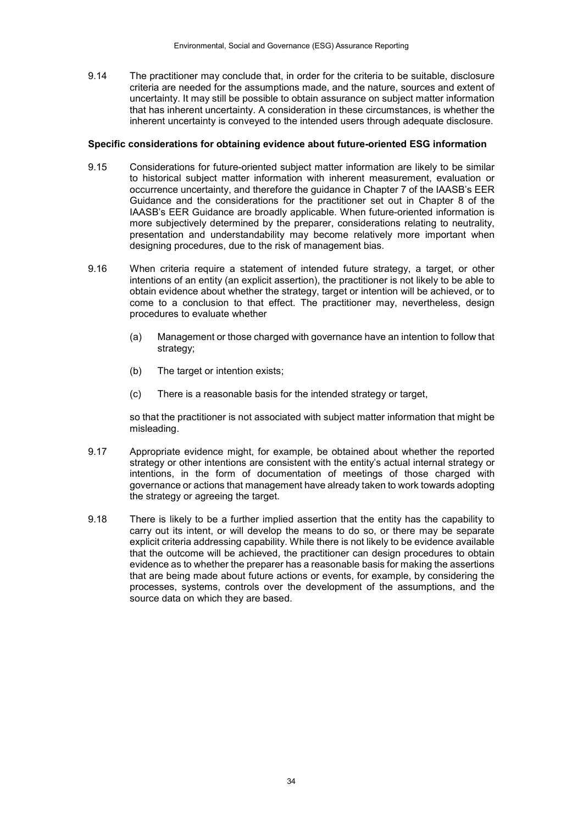9.14 The practitioner may conclude that, in order for the criteria to be suitable, disclosure criteria are needed for the assumptions made, and the nature, sources and extent of uncertainty. It may still be possible to obtain assurance on subject matter information that has inherent uncertainty. A consideration in these circumstances, is whether the inherent uncertainty is conveyed to the intended users through adequate disclosure.

#### **Specific considerations for obtaining evidence about future-oriented ESG information**

- 9.15 Considerations for future-oriented subject matter information are likely to be similar to historical subject matter information with inherent measurement, evaluation or occurrence uncertainty, and therefore the guidance in Chapter 7 of the IAASB's EER Guidance and the considerations for the practitioner set out in Chapter 8 of the IAASB's EER Guidance are broadly applicable. When future-oriented information is more subjectively determined by the preparer, considerations relating to neutrality, presentation and understandability may become relatively more important when designing procedures, due to the risk of management bias.
- 9.16 When criteria require a statement of intended future strategy, a target, or other intentions of an entity (an explicit assertion), the practitioner is not likely to be able to obtain evidence about whether the strategy, target or intention will be achieved, or to come to a conclusion to that effect. The practitioner may, nevertheless, design procedures to evaluate whether
	- (a) Management or those charged with governance have an intention to follow that strategy;
	- (b) The target or intention exists:
	- (c) There is a reasonable basis for the intended strategy or target,

so that the practitioner is not associated with subject matter information that might be misleading.

- 9.17 Appropriate evidence might, for example, be obtained about whether the reported strategy or other intentions are consistent with the entity's actual internal strategy or intentions, in the form of documentation of meetings of those charged with governance or actions that management have already taken to work towards adopting the strategy or agreeing the target.
- 9.18 There is likely to be a further implied assertion that the entity has the capability to carry out its intent, or will develop the means to do so, or there may be separate explicit criteria addressing capability. While there is not likely to be evidence available that the outcome will be achieved, the practitioner can design procedures to obtain evidence as to whether the preparer has a reasonable basis for making the assertions that are being made about future actions or events, for example, by considering the processes, systems, controls over the development of the assumptions, and the source data on which they are based.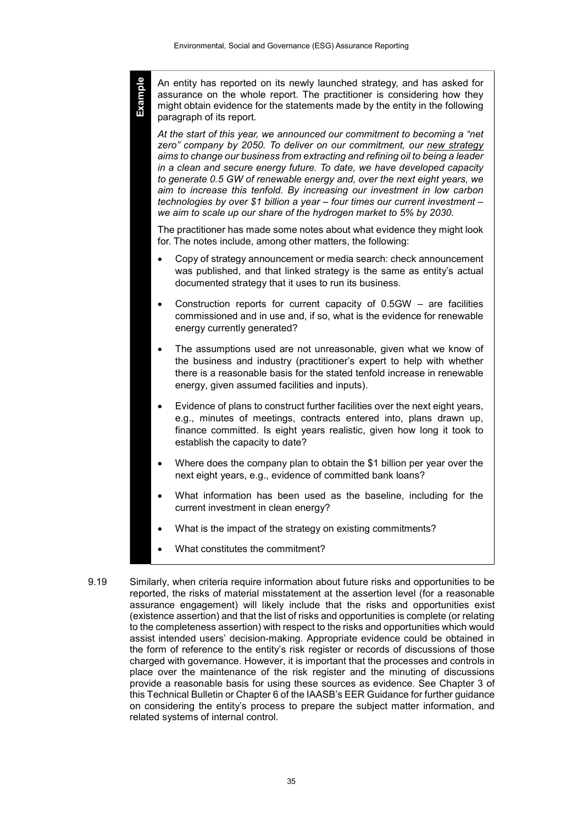**Example**

An entity has reported on its newly launched strategy, and has asked for assurance on the whole report. The practitioner is considering how they might obtain evidence for the statements made by the entity in the following paragraph of its report.

*At the start of this year, we announced our commitment to becoming a "net zero" company by 2050. To deliver on our commitment, our new strategy aims to change our business from extracting and refining oil to being a leader in a clean and secure energy future. To date, we have developed capacity to generate 0.5 GW of renewable energy and, over the next eight years, we aim to increase this tenfold. By increasing our investment in low carbon technologies by over \$1 billion a year – four times our current investment – we aim to scale up our share of the hydrogen market to 5% by 2030.*

The practitioner has made some notes about what evidence they might look for. The notes include, among other matters, the following:

- Copy of strategy announcement or media search: check announcement was published, and that linked strategy is the same as entity's actual documented strategy that it uses to run its business.
- Construction reports for current capacity of 0.5GW are facilities commissioned and in use and, if so, what is the evidence for renewable energy currently generated?
- The assumptions used are not unreasonable, given what we know of the business and industry (practitioner's expert to help with whether there is a reasonable basis for the stated tenfold increase in renewable energy, given assumed facilities and inputs).
- Evidence of plans to construct further facilities over the next eight years, e.g., minutes of meetings, contracts entered into, plans drawn up, finance committed. Is eight years realistic, given how long it took to establish the capacity to date?
- Where does the company plan to obtain the \$1 billion per year over the next eight years, e.g., evidence of committed bank loans?
- What information has been used as the baseline, including for the current investment in clean energy?
- What is the impact of the strategy on existing commitments?
- What constitutes the commitment?
- 9.19 Similarly, when criteria require information about future risks and opportunities to be reported, the risks of material misstatement at the assertion level (for a reasonable assurance engagement) will likely include that the risks and opportunities exist (existence assertion) and that the list of risks and opportunities is complete (or relating to the completeness assertion) with respect to the risks and opportunities which would assist intended users' decision-making. Appropriate evidence could be obtained in the form of reference to the entity's risk register or records of discussions of those charged with governance. However, it is important that the processes and controls in place over the maintenance of the risk register and the minuting of discussions provide a reasonable basis for using these sources as evidence. See Chapter 3 of this Technical Bulletin or Chapter 6 of the IAASB's EER Guidance for further guidance on considering the entity's process to prepare the subject matter information, and related systems of internal control.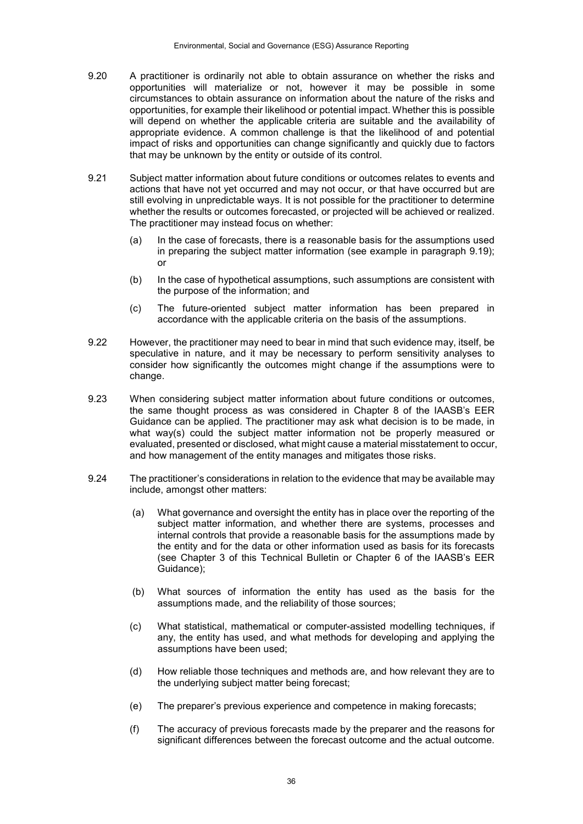- 9.20 A practitioner is ordinarily not able to obtain assurance on whether the risks and opportunities will materialize or not, however it may be possible in some circumstances to obtain assurance on information about the nature of the risks and opportunities, for example their likelihood or potential impact. Whether this is possible will depend on whether the applicable criteria are suitable and the availability of appropriate evidence. A common challenge is that the likelihood of and potential impact of risks and opportunities can change significantly and quickly due to factors that may be unknown by the entity or outside of its control.
- 9.21 Subject matter information about future conditions or outcomes relates to events and actions that have not yet occurred and may not occur, or that have occurred but are still evolving in unpredictable ways. It is not possible for the practitioner to determine whether the results or outcomes forecasted, or projected will be achieved or realized. The practitioner may instead focus on whether:
	- (a) In the case of forecasts, there is a reasonable basis for the assumptions used in preparing the subject matter information (see example in paragraph 9.19); or
	- (b) In the case of hypothetical assumptions, such assumptions are consistent with the purpose of the information; and
	- (c) The future-oriented subject matter information has been prepared in accordance with the applicable criteria on the basis of the assumptions.
- 9.22 However, the practitioner may need to bear in mind that such evidence may, itself, be speculative in nature, and it may be necessary to perform sensitivity analyses to consider how significantly the outcomes might change if the assumptions were to change.
- 9.23 When considering subject matter information about future conditions or outcomes, the same thought process as was considered in Chapter 8 of the IAASB's EER Guidance can be applied. The practitioner may ask what decision is to be made, in what way(s) could the subject matter information not be properly measured or evaluated, presented or disclosed, what might cause a material misstatement to occur, and how management of the entity manages and mitigates those risks.
- 9.24 The practitioner's considerations in relation to the evidence that may be available may include, amongst other matters:
	- (a) What governance and oversight the entity has in place over the reporting of the subject matter information, and whether there are systems, processes and internal controls that provide a reasonable basis for the assumptions made by the entity and for the data or other information used as basis for its forecasts (see Chapter 3 of this Technical Bulletin or Chapter 6 of the IAASB's EER Guidance);
	- (b) What sources of information the entity has used as the basis for the assumptions made, and the reliability of those sources;
	- (c) What statistical, mathematical or computer-assisted modelling techniques, if any, the entity has used, and what methods for developing and applying the assumptions have been used;
	- (d) How reliable those techniques and methods are, and how relevant they are to the underlying subject matter being forecast;
	- (e) The preparer's previous experience and competence in making forecasts;
	- (f) The accuracy of previous forecasts made by the preparer and the reasons for significant differences between the forecast outcome and the actual outcome.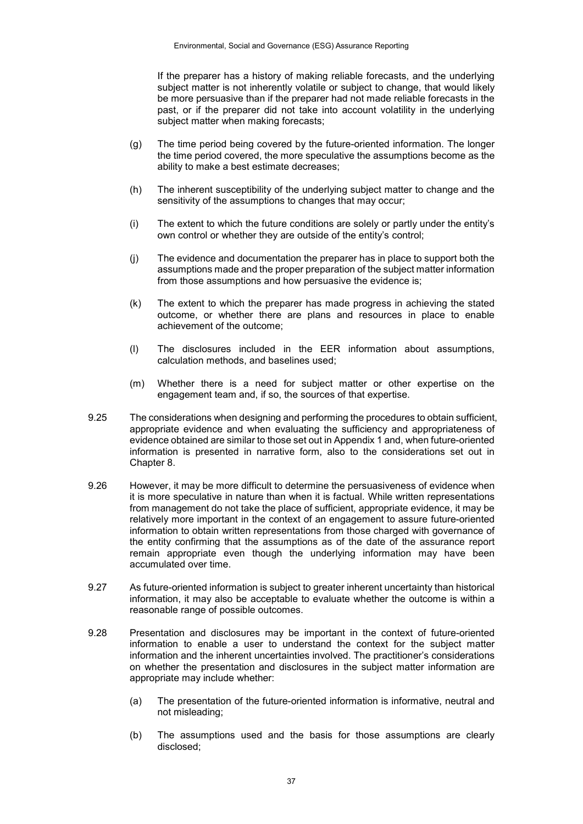If the preparer has a history of making reliable forecasts, and the underlying subject matter is not inherently volatile or subject to change, that would likely be more persuasive than if the preparer had not made reliable forecasts in the past, or if the preparer did not take into account volatility in the underlying subject matter when making forecasts;

- (g) The time period being covered by the future-oriented information. The longer the time period covered, the more speculative the assumptions become as the ability to make a best estimate decreases;
- (h) The inherent susceptibility of the underlying subject matter to change and the sensitivity of the assumptions to changes that may occur;
- (i) The extent to which the future conditions are solely or partly under the entity's own control or whether they are outside of the entity's control;
- (j) The evidence and documentation the preparer has in place to support both the assumptions made and the proper preparation of the subject matter information from those assumptions and how persuasive the evidence is;
- (k) The extent to which the preparer has made progress in achieving the stated outcome, or whether there are plans and resources in place to enable achievement of the outcome;
- (l) The disclosures included in the EER information about assumptions, calculation methods, and baselines used;
- (m) Whether there is a need for subject matter or other expertise on the engagement team and, if so, the sources of that expertise.
- 9.25 The considerations when designing and performing the procedures to obtain sufficient, appropriate evidence and when evaluating the sufficiency and appropriateness of evidence obtained are similar to those set out in Appendix 1 and, when future-oriented information is presented in narrative form, also to the considerations set out in Chapter 8.
- 9.26 However, it may be more difficult to determine the persuasiveness of evidence when it is more speculative in nature than when it is factual. While written representations from management do not take the place of sufficient, appropriate evidence, it may be relatively more important in the context of an engagement to assure future-oriented information to obtain written representations from those charged with governance of the entity confirming that the assumptions as of the date of the assurance report remain appropriate even though the underlying information may have been accumulated over time.
- 9.27 As future-oriented information is subject to greater inherent uncertainty than historical information, it may also be acceptable to evaluate whether the outcome is within a reasonable range of possible outcomes.
- 9.28 Presentation and disclosures may be important in the context of future-oriented information to enable a user to understand the context for the subject matter information and the inherent uncertainties involved. The practitioner's considerations on whether the presentation and disclosures in the subject matter information are appropriate may include whether:
	- (a) The presentation of the future-oriented information is informative, neutral and not misleading;
	- (b) The assumptions used and the basis for those assumptions are clearly disclosed;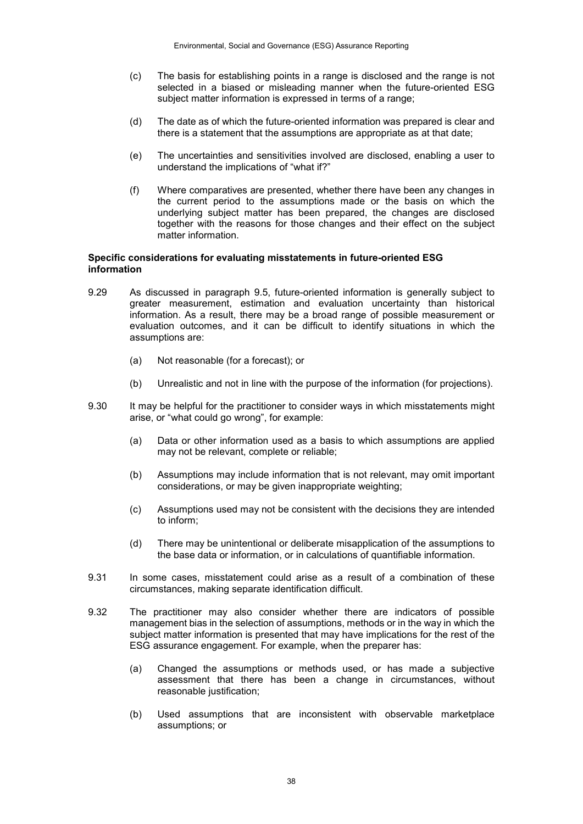- (c) The basis for establishing points in a range is disclosed and the range is not selected in a biased or misleading manner when the future-oriented ESG subject matter information is expressed in terms of a range;
- (d) The date as of which the future-oriented information was prepared is clear and there is a statement that the assumptions are appropriate as at that date;
- (e) The uncertainties and sensitivities involved are disclosed, enabling a user to understand the implications of "what if?"
- (f) Where comparatives are presented, whether there have been any changes in the current period to the assumptions made or the basis on which the underlying subject matter has been prepared, the changes are disclosed together with the reasons for those changes and their effect on the subject matter information.

#### **Specific considerations for evaluating misstatements in future-oriented ESG information**

- 9.29 As discussed in paragraph 9.5, future-oriented information is generally subject to greater measurement, estimation and evaluation uncertainty than historical information. As a result, there may be a broad range of possible measurement or evaluation outcomes, and it can be difficult to identify situations in which the assumptions are:
	- (a) Not reasonable (for a forecast); or
	- (b) Unrealistic and not in line with the purpose of the information (for projections).
- 9.30 It may be helpful for the practitioner to consider ways in which misstatements might arise, or "what could go wrong", for example:
	- (a) Data or other information used as a basis to which assumptions are applied may not be relevant, complete or reliable;
	- (b) Assumptions may include information that is not relevant, may omit important considerations, or may be given inappropriate weighting;
	- (c) Assumptions used may not be consistent with the decisions they are intended to inform;
	- (d) There may be unintentional or deliberate misapplication of the assumptions to the base data or information, or in calculations of quantifiable information.
- 9.31 In some cases, misstatement could arise as a result of a combination of these circumstances, making separate identification difficult.
- 9.32 The practitioner may also consider whether there are indicators of possible management bias in the selection of assumptions, methods or in the way in which the subject matter information is presented that may have implications for the rest of the ESG assurance engagement. For example, when the preparer has:
	- (a) Changed the assumptions or methods used, or has made a subjective assessment that there has been a change in circumstances, without reasonable justification;
	- (b) Used assumptions that are inconsistent with observable marketplace assumptions; or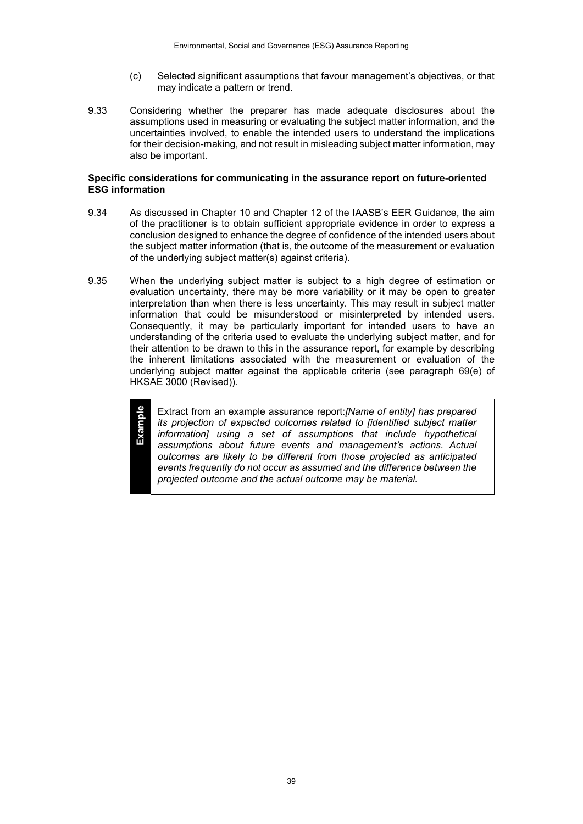- (c) Selected significant assumptions that favour management's objectives, or that may indicate a pattern or trend.
- 9.33 Considering whether the preparer has made adequate disclosures about the assumptions used in measuring or evaluating the subject matter information, and the uncertainties involved, to enable the intended users to understand the implications for their decision-making, and not result in misleading subject matter information, may also be important.

#### **Specific considerations for communicating in the assurance report on future-oriented ESG information**

- 9.34 As discussed in Chapter 10 and Chapter 12 of the IAASB's EER Guidance, the aim of the practitioner is to obtain sufficient appropriate evidence in order to express a conclusion designed to enhance the degree of confidence of the intended users about the subject matter information (that is, the outcome of the measurement or evaluation of the underlying subject matter(s) against criteria).
- 9.35 When the underlying subject matter is subject to a high degree of estimation or evaluation uncertainty, there may be more variability or it may be open to greater interpretation than when there is less uncertainty. This may result in subject matter information that could be misunderstood or misinterpreted by intended users. Consequently, it may be particularly important for intended users to have an understanding of the criteria used to evaluate the underlying subject matter, and for their attention to be drawn to this in the assurance report, for example by describing the inherent limitations associated with the measurement or evaluation of the underlying subject matter against the applicable criteria (see paragraph 69(e) of HKSAE 3000 (Revised)).

**Example**

#### Extract from an example assurance report:*[Name of entity] has prepared its projection of expected outcomes related to [identified subject matter information] using a set of assumptions that include hypothetical assumptions about future events and management's actions. Actual outcomes are likely to be different from those projected as anticipated events frequently do not occur as assumed and the difference between the projected outcome and the actual outcome may be material.*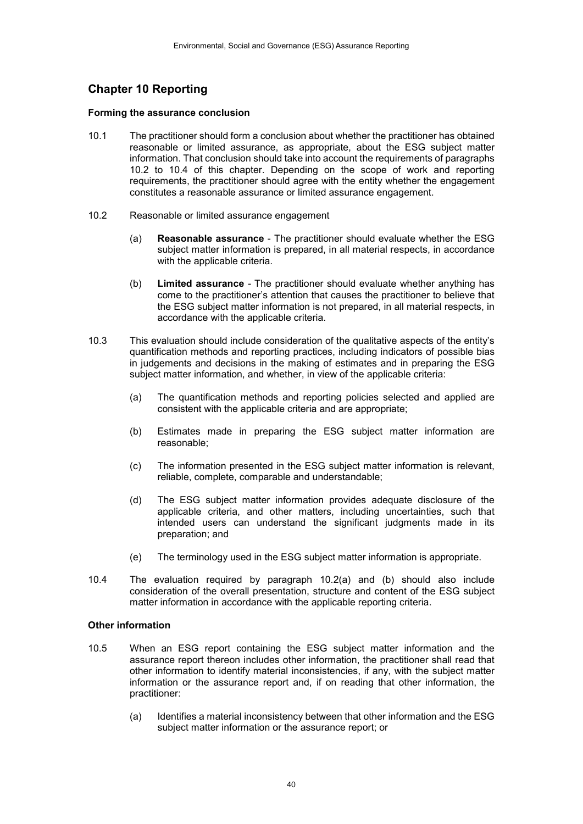# **Chapter 10 Reporting**

#### **Forming the assurance conclusion**

- 10.1 The practitioner should form a conclusion about whether the practitioner has obtained reasonable or limited assurance, as appropriate, about the ESG subject matter information. That conclusion should take into account the requirements of paragraphs 10.2 to 10.4 of this chapter. Depending on the scope of work and reporting requirements, the practitioner should agree with the entity whether the engagement constitutes a reasonable assurance or limited assurance engagement.
- 10.2 Reasonable or limited assurance engagement
	- (a) **Reasonable assurance**  The practitioner should evaluate whether the ESG subject matter information is prepared, in all material respects, in accordance with the applicable criteria.
	- (b) **Limited assurance** *-* The practitioner should evaluate whether anything has come to the practitioner's attention that causes the practitioner to believe that the ESG subject matter information is not prepared, in all material respects, in accordance with the applicable criteria.
- 10.3 This evaluation should include consideration of the qualitative aspects of the entity's quantification methods and reporting practices, including indicators of possible bias in judgements and decisions in the making of estimates and in preparing the ESG subject matter information, and whether, in view of the applicable criteria:
	- (a) The quantification methods and reporting policies selected and applied are consistent with the applicable criteria and are appropriate;
	- (b) Estimates made in preparing the ESG subject matter information are reasonable;
	- (c) The information presented in the ESG subject matter information is relevant, reliable, complete, comparable and understandable;
	- (d) The ESG subject matter information provides adequate disclosure of the applicable criteria, and other matters, including uncertainties, such that intended users can understand the significant judgments made in its preparation; and
	- (e) The terminology used in the ESG subject matter information is appropriate.
- 10.4 The evaluation required by paragraph 10.2(a) and (b) should also include consideration of the overall presentation, structure and content of the ESG subject matter information in accordance with the applicable reporting criteria.

#### **Other information**

- 10.5 When an ESG report containing the ESG subject matter information and the assurance report thereon includes other information, the practitioner shall read that other information to identify material inconsistencies, if any, with the subject matter information or the assurance report and, if on reading that other information, the practitioner:
	- (a) Identifies a material inconsistency between that other information and the ESG subject matter information or the assurance report; or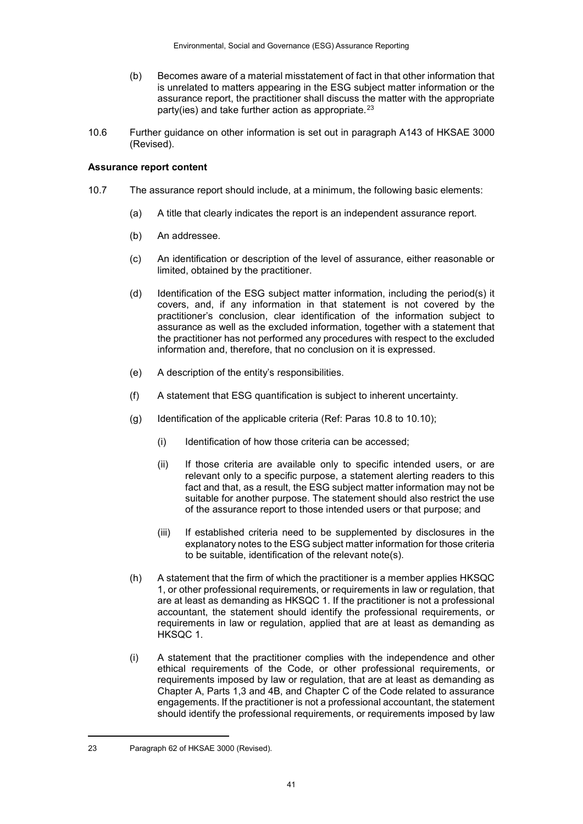- (b) Becomes aware of a material misstatement of fact in that other information that is unrelated to matters appearing in the ESG subject matter information or the assurance report, the practitioner shall discuss the matter with the appropriate party(ies) and take further action as appropriate. $23$
- 10.6 Further guidance on other information is set out in paragraph A143 of HKSAE 3000 (Revised).

#### **Assurance report content**

- 10.7 The assurance report should include, at a minimum, the following basic elements:
	- (a) A title that clearly indicates the report is an independent assurance report.
	- (b) An addressee.
	- (c) An identification or description of the level of assurance, either reasonable or limited, obtained by the practitioner.
	- (d) Identification of the ESG subject matter information, including the period(s) it covers, and, if any information in that statement is not covered by the practitioner's conclusion, clear identification of the information subject to assurance as well as the excluded information, together with a statement that the practitioner has not performed any procedures with respect to the excluded information and, therefore, that no conclusion on it is expressed.
	- (e) A description of the entity's responsibilities.
	- (f) A statement that ESG quantification is subject to inherent uncertainty.
	- (g) Identification of the applicable criteria (Ref: Paras 10.8 to 10.10);
		- (i) Identification of how those criteria can be accessed;
		- (ii) If those criteria are available only to specific intended users, or are relevant only to a specific purpose, a statement alerting readers to this fact and that, as a result, the ESG subject matter information may not be suitable for another purpose. The statement should also restrict the use of the assurance report to those intended users or that purpose; and
		- (iii) If established criteria need to be supplemented by disclosures in the explanatory notes to the ESG subject matter information for those criteria to be suitable, identification of the relevant note(s).
	- (h) A statement that the firm of which the practitioner is a member applies HKSQC 1, or other professional requirements, or requirements in law or regulation, that are at least as demanding as HKSQC 1. If the practitioner is not a professional accountant, the statement should identify the professional requirements, or requirements in law or regulation, applied that are at least as demanding as HKSQC 1.
	- (i) A statement that the practitioner complies with the independence and other ethical requirements of the Code, or other professional requirements, or requirements imposed by law or regulation, that are at least as demanding as Chapter A, Parts 1,3 and 4B, and Chapter C of the Code related to assurance engagements. If the practitioner is not a professional accountant, the statement should identify the professional requirements, or requirements imposed by law

1

<span id="page-40-0"></span><sup>23</sup> Paragraph 62 of HKSAE 3000 (Revised).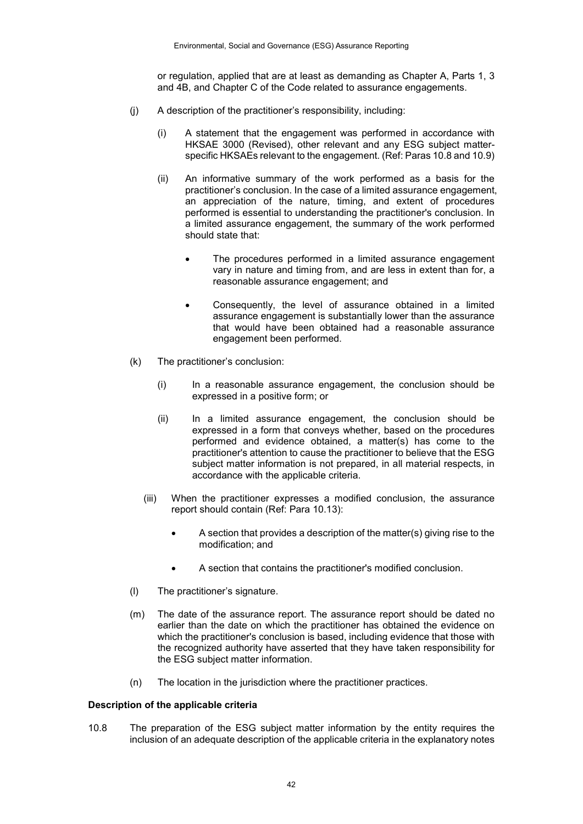or regulation, applied that are at least as demanding as Chapter A, Parts 1, 3 and 4B, and Chapter C of the Code related to assurance engagements.

- (j) A description of the practitioner's responsibility, including:
	- (i) A statement that the engagement was performed in accordance with HKSAE 3000 (Revised), other relevant and any ESG subject matterspecific HKSAEs relevant to the engagement. (Ref: Paras 10.8 and 10.9)
	- (ii) An informative summary of the work performed as a basis for the practitioner's conclusion. In the case of a limited assurance engagement, an appreciation of the nature, timing, and extent of procedures performed is essential to understanding the practitioner's conclusion. In a limited assurance engagement, the summary of the work performed should state that:
		- The procedures performed in a limited assurance engagement vary in nature and timing from, and are less in extent than for, a reasonable assurance engagement; and
		- Consequently, the level of assurance obtained in a limited assurance engagement is substantially lower than the assurance that would have been obtained had a reasonable assurance engagement been performed.
- (k) The practitioner's conclusion:
	- (i) In a reasonable assurance engagement, the conclusion should be expressed in a positive form; or
	- (ii) In a limited assurance engagement, the conclusion should be expressed in a form that conveys whether, based on the procedures performed and evidence obtained, a matter(s) has come to the practitioner's attention to cause the practitioner to believe that the ESG subject matter information is not prepared, in all material respects, in accordance with the applicable criteria.
	- (iii) When the practitioner expresses a modified conclusion, the assurance report should contain (Ref: Para 10.13):
		- A section that provides a description of the matter(s) giving rise to the modification; and
		- A section that contains the practitioner's modified conclusion.
- (l) The practitioner's signature.
- (m) The date of the assurance report. The assurance report should be dated no earlier than the date on which the practitioner has obtained the evidence on which the practitioner's conclusion is based, including evidence that those with the recognized authority have asserted that they have taken responsibility for the ESG subject matter information.
- (n) The location in the jurisdiction where the practitioner practices.

#### **Description of the applicable criteria**

10.8 The preparation of the ESG subject matter information by the entity requires the inclusion of an adequate description of the applicable criteria in the explanatory notes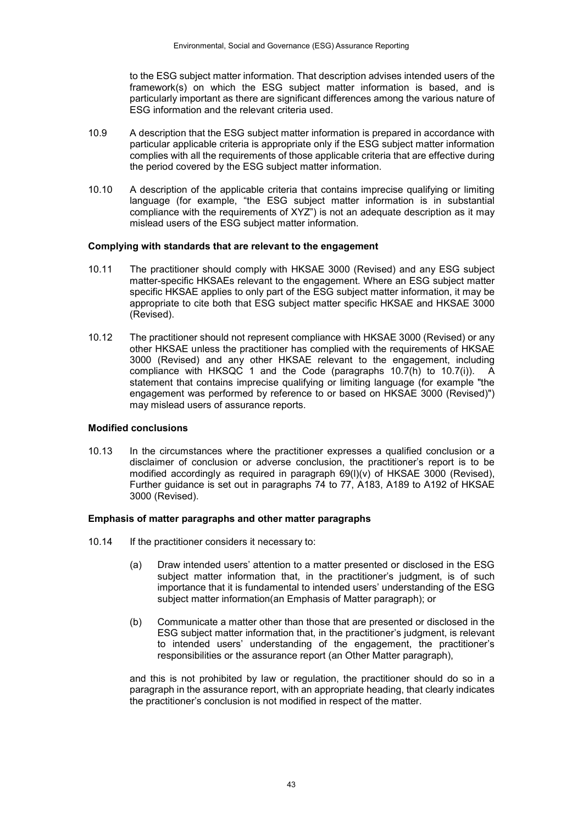to the ESG subject matter information. That description advises intended users of the framework(s) on which the ESG subject matter information is based, and is particularly important as there are significant differences among the various nature of ESG information and the relevant criteria used.

- 10.9 A description that the ESG subject matter information is prepared in accordance with particular applicable criteria is appropriate only if the ESG subject matter information complies with all the requirements of those applicable criteria that are effective during the period covered by the ESG subject matter information.
- 10.10 A description of the applicable criteria that contains imprecise qualifying or limiting language (for example, "the ESG subject matter information is in substantial compliance with the requirements of XYZ") is not an adequate description as it may mislead users of the ESG subject matter information.

#### **Complying with standards that are relevant to the engagement**

- 10.11 The practitioner should comply with HKSAE 3000 (Revised) and any ESG subject matter-specific HKSAEs relevant to the engagement. Where an ESG subject matter specific HKSAE applies to only part of the ESG subject matter information, it may be appropriate to cite both that ESG subject matter specific HKSAE and HKSAE 3000 (Revised).
- 10.12 The practitioner should not represent compliance with HKSAE 3000 (Revised) or any other HKSAE unless the practitioner has complied with the requirements of HKSAE 3000 (Revised) and any other HKSAE relevant to the engagement, including compliance with HKSQC 1 and the Code (paragraphs  $10.\overline{7}$ (h) to  $10.\overline{7}$ (i)). A statement that contains imprecise qualifying or limiting language (for example "the engagement was performed by reference to or based on HKSAE 3000 (Revised)") may mislead users of assurance reports.

#### **Modified conclusions**

10.13 In the circumstances where the practitioner expresses a qualified conclusion or a disclaimer of conclusion or adverse conclusion, the practitioner's report is to be modified accordingly as required in paragraph 69(l)(v) of HKSAE 3000 (Revised), Further guidance is set out in paragraphs 74 to 77, A183, A189 to A192 of HKSAE 3000 (Revised).

#### **Emphasis of matter paragraphs and other matter paragraphs**

- 10.14 If the practitioner considers it necessary to:
	- (a) Draw intended users' attention to a matter presented or disclosed in the ESG subject matter information that, in the practitioner's judgment, is of such importance that it is fundamental to intended users' understanding of the ESG subject matter information(an Emphasis of Matter paragraph); or
	- (b) Communicate a matter other than those that are presented or disclosed in the ESG subject matter information that, in the practitioner's judgment, is relevant to intended users' understanding of the engagement, the practitioner's responsibilities or the assurance report (an Other Matter paragraph),

and this is not prohibited by law or regulation, the practitioner should do so in a paragraph in the assurance report, with an appropriate heading, that clearly indicates the practitioner's conclusion is not modified in respect of the matter.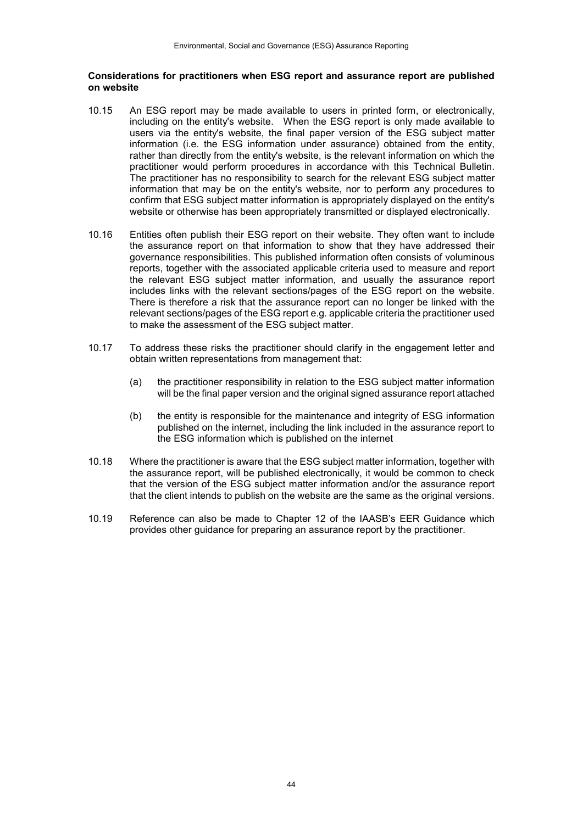#### **Considerations for practitioners when ESG report and assurance report are published on website**

- 10.15 An ESG report may be made available to users in printed form, or electronically, including on the entity's website. When the ESG report is only made available to users via the entity's website, the final paper version of the ESG subject matter information (i.e. the ESG information under assurance) obtained from the entity, rather than directly from the entity's website, is the relevant information on which the practitioner would perform procedures in accordance with this Technical Bulletin. The practitioner has no responsibility to search for the relevant ESG subject matter information that may be on the entity's website, nor to perform any procedures to confirm that ESG subject matter information is appropriately displayed on the entity's website or otherwise has been appropriately transmitted or displayed electronically.
- 10.16 Entities often publish their ESG report on their website. They often want to include the assurance report on that information to show that they have addressed their governance responsibilities. This published information often consists of voluminous reports, together with the associated applicable criteria used to measure and report the relevant ESG subject matter information, and usually the assurance report includes links with the relevant sections/pages of the ESG report on the website. There is therefore a risk that the assurance report can no longer be linked with the relevant sections/pages of the ESG report e.g. applicable criteria the practitioner used to make the assessment of the ESG subject matter.
- 10.17 To address these risks the practitioner should clarify in the engagement letter and obtain written representations from management that:
	- (a) the practitioner responsibility in relation to the ESG subject matter information will be the final paper version and the original signed assurance report attached
	- (b) the entity is responsible for the maintenance and integrity of ESG information published on the internet, including the link included in the assurance report to the ESG information which is published on the internet
- 10.18 Where the practitioner is aware that the ESG subject matter information, together with the assurance report, will be published electronically, it would be common to check that the version of the ESG subject matter information and/or the assurance report that the client intends to publish on the website are the same as the original versions.
- 10.19 Reference can also be made to Chapter 12 of the IAASB's EER Guidance which provides other guidance for preparing an assurance report by the practitioner.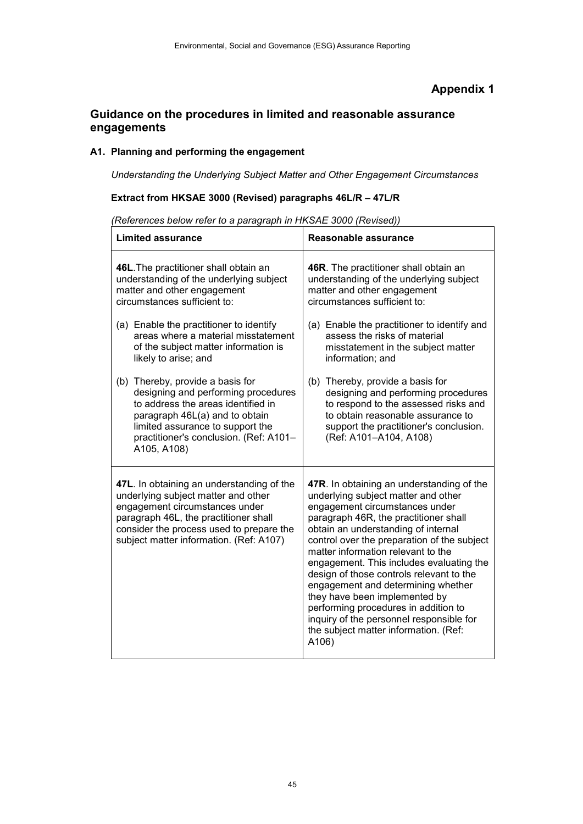## **Appendix 1**

# **Guidance on the procedures in limited and reasonable assurance engagements**

## **A1. Planning and performing the engagement**

*Understanding the Underlying Subject Matter and Other Engagement Circumstances*

#### **Extract from HKSAE 3000 (Revised) paragraphs 46L/R – 47L/R**

**Limited assurance Reasonable assurance 46L**.The practitioner shall obtain an understanding of the underlying subject matter and other engagement circumstances sufficient to: (a) Enable the practitioner to identify areas where a material misstatement of the subject matter information is likely to arise; and (b) Thereby, provide a basis for designing and performing procedures to address the areas identified in paragraph 46L(a) and to obtain limited assurance to support the practitioner's conclusion. (Ref: A101– A105, A108) **46R**. The practitioner shall obtain an understanding of the underlying subject matter and other engagement circumstances sufficient to: (a) Enable the practitioner to identify and assess the risks of material misstatement in the subject matter information; and (b) Thereby, provide a basis for designing and performing procedures to respond to the assessed risks and to obtain reasonable assurance to support the practitioner's conclusion. (Ref: A101–A104, A108) **47L**. In obtaining an understanding of the underlying subject matter and other engagement circumstances under paragraph 46L, the practitioner shall consider the process used to prepare the subject matter information. (Ref: A107) **47R**. In obtaining an understanding of the underlying subject matter and other engagement circumstances under paragraph 46R, the practitioner shall obtain an understanding of internal control over the preparation of the subject matter information relevant to the engagement. This includes evaluating the design of those controls relevant to the engagement and determining whether they have been implemented by performing procedures in addition to inquiry of the personnel responsible for the subject matter information. (Ref: A106)

*(References below refer to a paragraph in HKSAE 3000 (Revised))*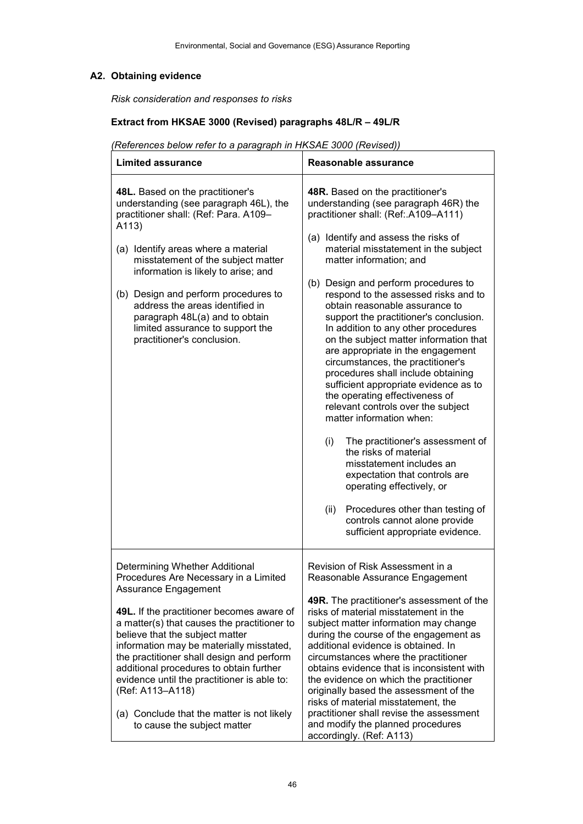# **A2. Obtaining evidence**

*Risk consideration and responses to risks*

## **Extract from HKSAE 3000 (Revised) paragraphs 48L/R – 49L/R**

# *(References below refer to a paragraph in HKSAE 3000 (Revised))*

| <b>Limited assurance</b><br>Reasonable assurance                                                                                                                                                                                                                                                                                                                                                                                                                                                                                                                                                                                                                                                                                                                                                                                                                                                                                                                                                                                                                                                                                                                                                                                                                                                                                                                                                                                                         |                                                                                                                                                                                                                                                                                                                                                                                                                                                                                                      |  |  |
|----------------------------------------------------------------------------------------------------------------------------------------------------------------------------------------------------------------------------------------------------------------------------------------------------------------------------------------------------------------------------------------------------------------------------------------------------------------------------------------------------------------------------------------------------------------------------------------------------------------------------------------------------------------------------------------------------------------------------------------------------------------------------------------------------------------------------------------------------------------------------------------------------------------------------------------------------------------------------------------------------------------------------------------------------------------------------------------------------------------------------------------------------------------------------------------------------------------------------------------------------------------------------------------------------------------------------------------------------------------------------------------------------------------------------------------------------------|------------------------------------------------------------------------------------------------------------------------------------------------------------------------------------------------------------------------------------------------------------------------------------------------------------------------------------------------------------------------------------------------------------------------------------------------------------------------------------------------------|--|--|
| 48L. Based on the practitioner's<br>48R. Based on the practitioner's<br>understanding (see paragraph 46L), the<br>understanding (see paragraph 46R) the<br>practitioner shall: (Ref: Para. A109-<br>practitioner shall: (Ref: A109-A111)<br>A113)<br>(a) Identify and assess the risks of<br>material misstatement in the subject<br>(a) Identify areas where a material<br>matter information; and<br>misstatement of the subject matter<br>information is likely to arise; and<br>(b) Design and perform procedures to<br>(b) Design and perform procedures to<br>respond to the assessed risks and to<br>address the areas identified in<br>obtain reasonable assurance to<br>paragraph 48L(a) and to obtain<br>support the practitioner's conclusion.<br>limited assurance to support the<br>In addition to any other procedures<br>on the subject matter information that<br>practitioner's conclusion.<br>are appropriate in the engagement<br>circumstances, the practitioner's<br>procedures shall include obtaining<br>sufficient appropriate evidence as to<br>the operating effectiveness of<br>relevant controls over the subject<br>matter information when:<br>(i)<br>The practitioner's assessment of<br>the risks of material<br>misstatement includes an<br>expectation that controls are<br>operating effectively, or<br>(ii)<br>Procedures other than testing of<br>controls cannot alone provide<br>sufficient appropriate evidence. |                                                                                                                                                                                                                                                                                                                                                                                                                                                                                                      |  |  |
| Determining Whether Additional<br>Procedures Are Necessary in a Limited<br>Assurance Engagement<br>49L. If the practitioner becomes aware of<br>a matter(s) that causes the practitioner to<br>believe that the subject matter<br>information may be materially misstated,<br>the practitioner shall design and perform<br>additional procedures to obtain further<br>evidence until the practitioner is able to:<br>(Ref: A113-A118)<br>(a) Conclude that the matter is not likely                                                                                                                                                                                                                                                                                                                                                                                                                                                                                                                                                                                                                                                                                                                                                                                                                                                                                                                                                                      | Revision of Risk Assessment in a<br>Reasonable Assurance Engagement<br>49R. The practitioner's assessment of the<br>risks of material misstatement in the<br>subject matter information may change<br>during the course of the engagement as<br>additional evidence is obtained. In<br>circumstances where the practitioner<br>obtains evidence that is inconsistent with<br>the evidence on which the practitioner<br>originally based the assessment of the<br>risks of material misstatement, the |  |  |
| to cause the subject matter                                                                                                                                                                                                                                                                                                                                                                                                                                                                                                                                                                                                                                                                                                                                                                                                                                                                                                                                                                                                                                                                                                                                                                                                                                                                                                                                                                                                                              | practitioner shall revise the assessment<br>and modify the planned procedures<br>accordingly. (Ref: A113)                                                                                                                                                                                                                                                                                                                                                                                            |  |  |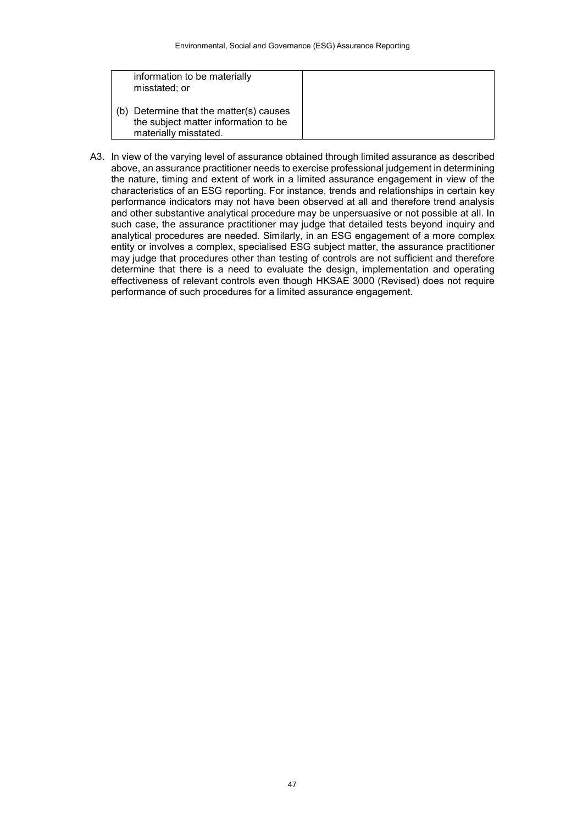| information to be materially<br>misstated; or                                                            |
|----------------------------------------------------------------------------------------------------------|
| (b) Determine that the matter(s) causes<br>the subject matter information to be<br>materially misstated. |

A3. In view of the varying level of assurance obtained through limited assurance as described above, an assurance practitioner needs to exercise professional judgement in determining the nature, timing and extent of work in a limited assurance engagement in view of the characteristics of an ESG reporting. For instance, trends and relationships in certain key performance indicators may not have been observed at all and therefore trend analysis and other substantive analytical procedure may be unpersuasive or not possible at all. In such case, the assurance practitioner may judge that detailed tests beyond inquiry and analytical procedures are needed. Similarly, in an ESG engagement of a more complex entity or involves a complex, specialised ESG subject matter, the assurance practitioner may judge that procedures other than testing of controls are not sufficient and therefore determine that there is a need to evaluate the design, implementation and operating effectiveness of relevant controls even though HKSAE 3000 (Revised) does not require performance of such procedures for a limited assurance engagement.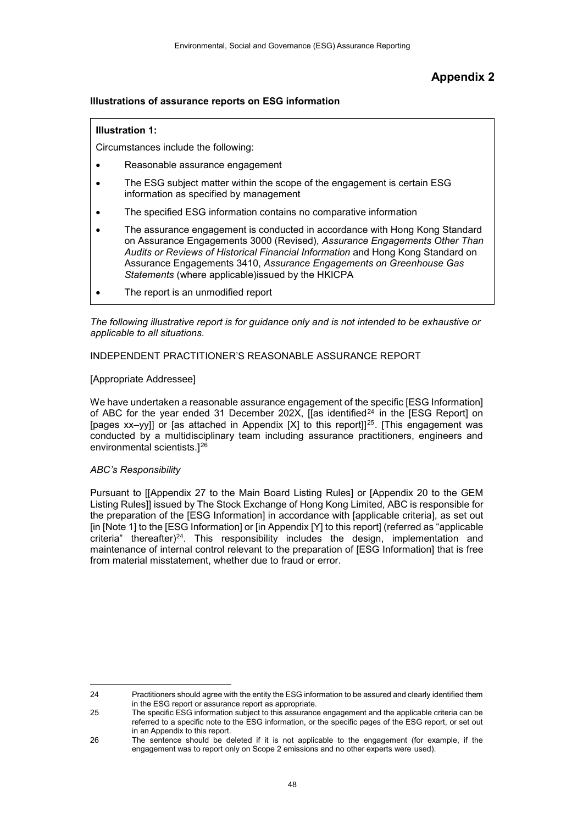# **Appendix 2**

#### **Illustrations of assurance reports on ESG information**

#### **Illustration 1:**

Circumstances include the following:

- Reasonable assurance engagement
- The ESG subject matter within the scope of the engagement is certain ESG information as specified by management
- The specified ESG information contains no comparative information
- The assurance engagement is conducted in accordance with Hong Kong Standard on Assurance Engagements 3000 (Revised), *Assurance Engagements Other Than Audits or Reviews of Historical Financial Information* and Hong Kong Standard on Assurance Engagements 3410, *Assurance Engagements on Greenhouse Gas Statements* (where applicable)issued by the HKICPA
- The report is an unmodified report

*The following illustrative report is for guidance only and is not intended to be exhaustive or applicable to all situations.*

#### INDEPENDENT PRACTITIONER'S REASONABLE ASSURANCE REPORT

#### [Appropriate Addressee]

We have undertaken a reasonable assurance engagement of the specific [ESG Information] of ABC for the year ended 31 December 202X, [[as identified<sup>[24](#page-47-0)</sup> in the [ESG Report] on [pages xx–yy]] or [as attached in Appendix [X] to this report]][25](#page-47-1). [This engagement was conducted by a multidisciplinary team including assurance practitioners, engineers and environmental scientists.][26](#page-47-2)

#### *ABC's Responsibility*

Pursuant to [[Appendix 27 to the Main Board Listing Rules] or [Appendix 20 to the GEM Listing Rules]] issued by The Stock Exchange of Hong Kong Limited, ABC is responsible for the preparation of the [ESG Information] in accordance with [applicable criteria], as set out [in [Note 1] to the [ESG Information] or [in Appendix [Y] to this report] (referred as "applicable criteria" thereafter) $24$ . This responsibility includes the design, implementation and maintenance of internal control relevant to the preparation of [ESG Information] that is free from material misstatement, whether due to fraud or error.

<span id="page-47-0"></span> $\overline{a}$ 24 Practitioners should agree with the entity the ESG information to be assured and clearly identified them in the ESG report or assurance report as appropriate.

<span id="page-47-1"></span><sup>25</sup> The specific ESG information subject to this assurance engagement and the applicable criteria can be referred to a specific note to the ESG information, or the specific pages of the ESG report, or set out in an Appendix to this report.

<span id="page-47-2"></span><sup>26</sup> The sentence should be deleted if it is not applicable to the engagement (for example, if the engagement was to report only on Scope 2 emissions and no other experts were used).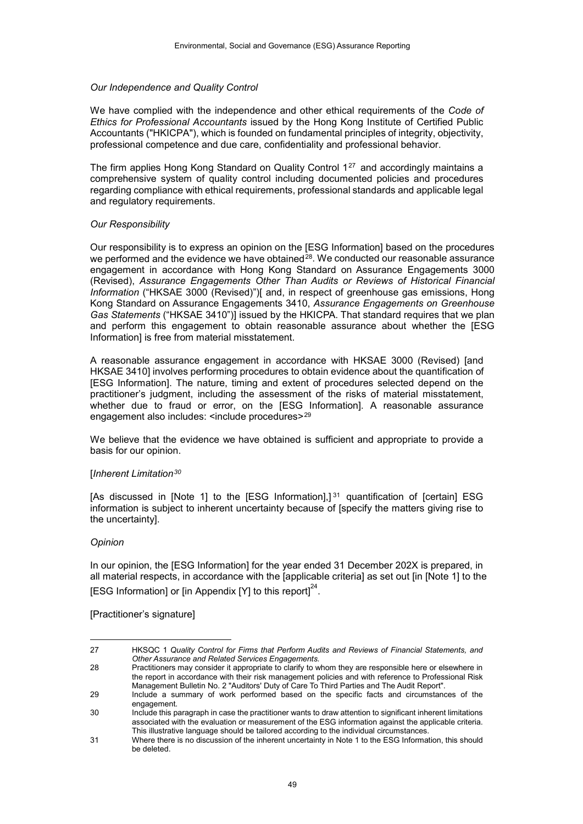#### *Our Independence and Quality Control*

We have complied with the independence and other ethical requirements of the *Code of Ethics for Professional Accountants* issued by the Hong Kong Institute of Certified Public Accountants ("HKICPA"), which is founded on fundamental principles of integrity, objectivity, professional competence and due care, confidentiality and professional behavior.

The firm applies Hong Kong Standard on Quality Control  $1^{27}$  $1^{27}$  $1^{27}$  and accordingly maintains a comprehensive system of quality control including documented policies and procedures regarding compliance with ethical requirements, professional standards and applicable legal and regulatory requirements.

#### *Our Responsibility*

Our responsibility is to express an opinion on the [ESG Information] based on the procedures we performed and the evidence we have obtained $^{28}$  $^{28}$  $^{28}$ . We conducted our reasonable assurance engagement in accordance with Hong Kong Standard on Assurance Engagements 3000 (Revised), *Assurance Engagements Other Than Audits or Reviews of Historical Financial Information* ("HKSAE 3000 (Revised)")[ and, in respect of greenhouse gas emissions, Hong Kong Standard on Assurance Engagements 3410, *Assurance Engagements on Greenhouse Gas Statements* ("HKSAE 3410")] issued by the HKICPA. That standard requires that we plan and perform this engagement to obtain reasonable assurance about whether the [ESG Information] is free from material misstatement.

A reasonable assurance engagement in accordance with HKSAE 3000 (Revised) [and HKSAE 3410] involves performing procedures to obtain evidence about the quantification of [ESG Information]. The nature, timing and extent of procedures selected depend on the practitioner's judgment, including the assessment of the risks of material misstatement, whether due to fraud or error, on the [ESG Information]. A reasonable assurance engagement also includes: <include procedures><sup>[29](#page-48-2)</sup>

We believe that the evidence we have obtained is sufficient and appropriate to provide a basis for our opinion.

#### [*Inherent Limitation[30](#page-48-3)*

[As discussed in [Note 1] to the [ESG Information],]<sup>[31](#page-48-4)</sup> quantification of [certain] ESG information is subject to inherent uncertainty because of [specify the matters giving rise to the uncertainty].

#### *Opinion*

 $\overline{a}$ 

In our opinion, the [ESG Information] for the year ended 31 December 202X is prepared, in all material respects, in accordance with the [applicable criteria] as set out [in [Note 1] to the [ESG Information] or [in Appendix [Y] to this report] $^{24}.$ 

[Practitioner's signature]

<span id="page-48-0"></span><sup>27</sup> HKSQC 1 *Quality Control for Firms that Perform Audits and Reviews of Financial Statements, and Other Assurance and Related Services Engagements.*

<span id="page-48-1"></span><sup>28</sup> Practitioners may consider it appropriate to clarify to whom they are responsible here or elsewhere in the report in accordance with their risk management policies and with reference to Professional Risk Management Bulletin No. 2 "Auditors' Duty of Care To Third Parties and The Audit Report".

<span id="page-48-2"></span><sup>29</sup> Include a summary of work performed based on the specific facts and circumstances of the engagement 30 Include this paragraph in case the practitioner wants to draw attention to significant inherent limitations

<span id="page-48-3"></span>associated with the evaluation or measurement of the ESG information against the applicable criteria. This illustrative language should be tailored according to the individual circumstances.

<span id="page-48-4"></span><sup>31</sup> Where there is no discussion of the inherent uncertainty in Note 1 to the ESG Information, this should be deleted.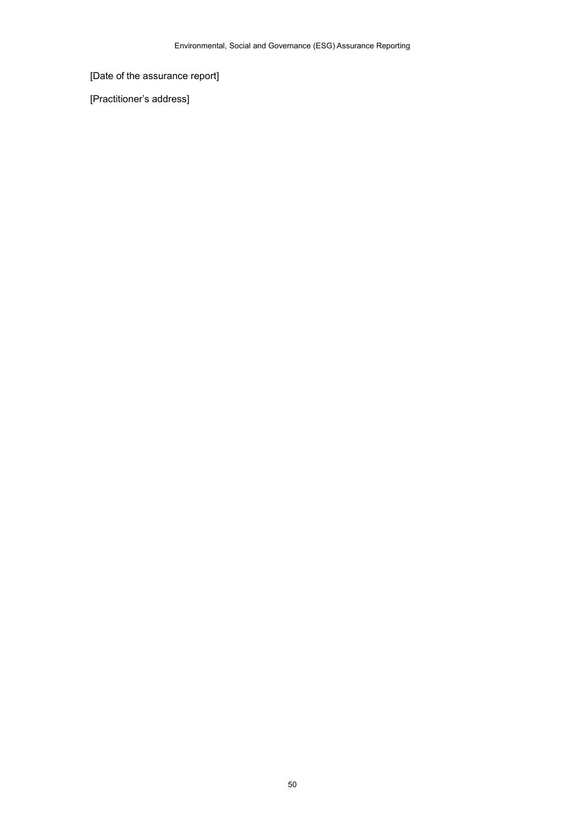# [Date of the assurance report]

[Practitioner's address]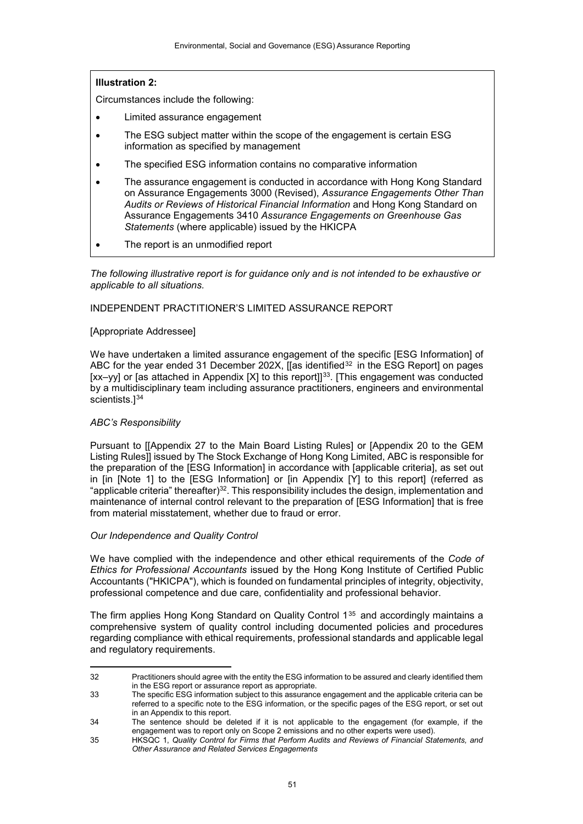## **Illustration 2:**

Circumstances include the following:

- Limited assurance engagement
- The ESG subject matter within the scope of the engagement is certain ESG information as specified by management
- The specified ESG information contains no comparative information
- The assurance engagement is conducted in accordance with Hong Kong Standard on Assurance Engagements 3000 (Revised), *Assurance Engagements Other Than Audits or Reviews of Historical Financial Information* and Hong Kong Standard on Assurance Engagements 3410 *Assurance Engagements on Greenhouse Gas Statements* (where applicable) issued by the HKICPA
- The report is an unmodified report

*The following illustrative report is for guidance only and is not intended to be exhaustive or applicable to all situations.*

#### INDEPENDENT PRACTITIONER'S LIMITED ASSURANCE REPORT

#### [Appropriate Addressee]

We have undertaken a limited assurance engagement of the specific [ESG Information] of ABC for the year ended 31 December 202X, [[as identified<sup>[32](#page-50-0)</sup> in the ESG Report] on pages [xx–yy] or [as attached in Appendix [X] to this report]]<sup>[33](#page-50-1)</sup>. [This engagement was conducted by a multidisciplinary team including assurance practitioners, engineers and environmental scientists.]<sup>[34](#page-50-2)</sup>

#### *ABC's Responsibility*

Pursuant to [[Appendix 27 to the Main Board Listing Rules] or [Appendix 20 to the GEM Listing Rules]] issued by The Stock Exchange of Hong Kong Limited, ABC is responsible for the preparation of the [ESG Information] in accordance with [applicable criteria], as set out in [in [Note 1] to the [ESG Information] or [in Appendix [Y] to this report] (referred as "applicable criteria" thereafter)32. This responsibility includes the design, implementation and maintenance of internal control relevant to the preparation of [ESG Information] that is free from material misstatement, whether due to fraud or error.

#### *Our Independence and Quality Control*

We have complied with the independence and other ethical requirements of the *Code of Ethics for Professional Accountants* issued by the Hong Kong Institute of Certified Public Accountants ("HKICPA"), which is founded on fundamental principles of integrity, objectivity, professional competence and due care, confidentiality and professional behavior.

The firm applies Hong Kong Standard on Quality Control  $1^{35}$  $1^{35}$  $1^{35}$  and accordingly maintains a comprehensive system of quality control including documented policies and procedures regarding compliance with ethical requirements, professional standards and applicable legal and regulatory requirements.

<span id="page-50-0"></span> $\overline{a}$ 32 Practitioners should agree with the entity the ESG information to be assured and clearly identified them in the ESG report or assurance report as appropriate.

<span id="page-50-1"></span><sup>33</sup> The specific ESG information subject to this assurance engagement and the applicable criteria can be referred to a specific note to the ESG information, or the specific pages of the ESG report, or set out in an Appendix to this report.

<span id="page-50-2"></span><sup>34</sup> The sentence should be deleted if it is not applicable to the engagement (for example, if the engagement was to report only on Scope 2 emissions and no other experts were used).

<span id="page-50-3"></span><sup>35</sup> HKSQC 1, *Quality Control for Firms that Perform Audits and Reviews of Financial Statements, and Other Assurance and Related Services Engagements*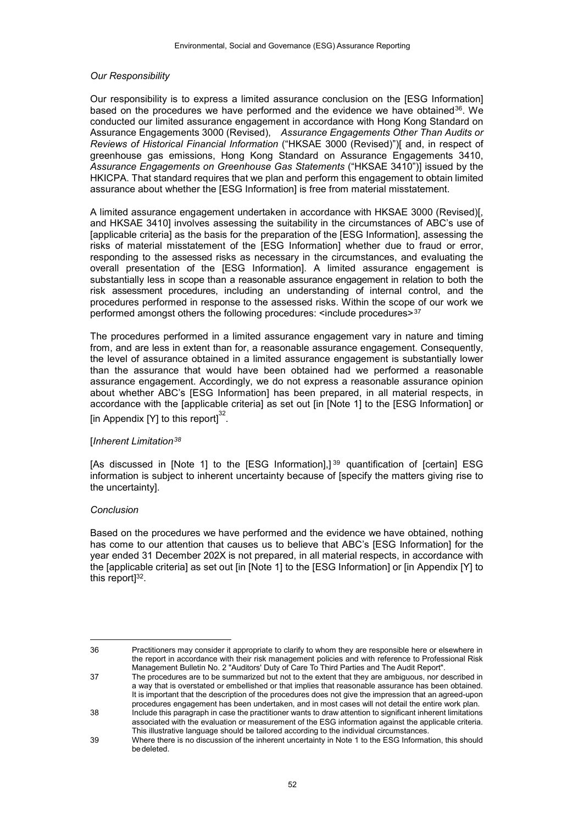#### *Our Responsibility*

Our responsibility is to express a limited assurance conclusion on the [ESG Information] based on the procedures we have performed and the evidence we have obtained[36](#page-51-0). We conducted our limited assurance engagement in accordance with Hong Kong Standard on Assurance Engagements 3000 (Revised), *Assurance Engagements Other Than Audits or Reviews of Historical Financial Information* ("HKSAE 3000 (Revised)")[ and, in respect of greenhouse gas emissions, Hong Kong Standard on Assurance Engagements 3410, *Assurance Engagements on Greenhouse Gas Statements* ("HKSAE 3410")] issued by the HKICPA. That standard requires that we plan and perform this engagement to obtain limited assurance about whether the [ESG Information] is free from material misstatement.

A limited assurance engagement undertaken in accordance with HKSAE 3000 (Revised)[, and HKSAE 3410] involves assessing the suitability in the circumstances of ABC's use of [applicable criteria] as the basis for the preparation of the [ESG Information], assessing the risks of material misstatement of the [ESG Information] whether due to fraud or error, responding to the assessed risks as necessary in the circumstances, and evaluating the overall presentation of the [ESG Information]. A limited assurance engagement is substantially less in scope than a reasonable assurance engagement in relation to both the risk assessment procedures, including an understanding of internal control, and the procedures performed in response to the assessed risks. Within the scope of our work we performed amongst others the following procedures: <include procedures>[37](#page-51-1)

The procedures performed in a limited assurance engagement vary in nature and timing from, and are less in extent than for, a reasonable assurance engagement. Consequently, the level of assurance obtained in a limited assurance engagement is substantially lower than the assurance that would have been obtained had we performed a reasonable assurance engagement. Accordingly, we do not express a reasonable assurance opinion about whether ABC's [ESG Information] has been prepared, in all material respects, in accordance with the [applicable criteria] as set out [in [Note 1] to the [ESG Information] or [in Appendix [Y] to this report] $^{32}$ .

#### [*Inherent Limitation[38](#page-51-2)*

[As discussed in [Note 1] to the [ESG Information],]<sup>[39](#page-51-3)</sup> quantification of [certain] ESG information is subject to inherent uncertainty because of [specify the matters giving rise to the uncertainty].

#### *Conclusion*

 $\overline{a}$ 

Based on the procedures we have performed and the evidence we have obtained, nothing has come to our attention that causes us to believe that ABC's [ESG Information] for the year ended 31 December 202X is not prepared, in all material respects, in accordance with the [applicable criteria] as set out [in [Note 1] to the [ESG Information] or [in Appendix [Y] to this report $]^{32}$ .

<span id="page-51-0"></span>36 Practitioners may consider it appropriate to clarify to whom they are responsible here or elsewhere in the report in accordance with their risk management policies and with reference to Professional Risk Management Bulletin No. 2 "Auditors' Duty of Care To Third Parties and The Audit Report".

<span id="page-51-1"></span>37 The procedures are to be summarized but not to the extent that they are ambiguous, nor described in a way that is overstated or embellished or that implies that reasonable assurance has been obtained. It is important that the description of the procedures does not give the impression that an agreed-upon procedures engagement has been undertaken, and in most cases will not detail the entire work plan.

<span id="page-51-2"></span>38 Include this paragraph in case the practitioner wants to draw attention to significant inherent limitations associated with the evaluation or measurement of the ESG information against the applicable criteria. This illustrative language should be tailored according to the individual circumstances.

<span id="page-51-3"></span><sup>39</sup> Where there is no discussion of the inherent uncertainty in Note 1 to the ESG Information, this should bedeleted.